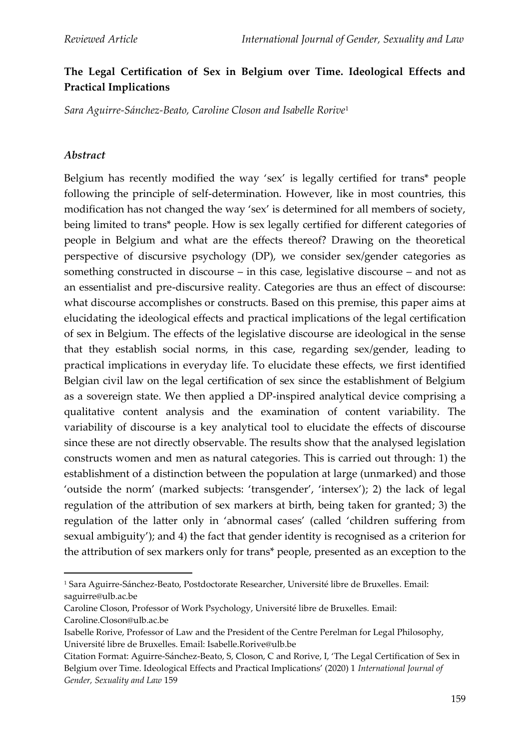## **The Legal Certification of Sex in Belgium over Time. Ideological Effects and Practical Implications**

*Sara Aguirre-Sánchez-Beato, Caroline Closon and Isabelle Rorive*<sup>1</sup>

#### *Abstract*

Belgium has recently modified the way 'sex' is legally certified for trans\* people following the principle of self-determination. However, like in most countries, this modification has not changed the way 'sex' is determined for all members of society, being limited to trans\* people. How is sex legally certified for different categories of people in Belgium and what are the effects thereof? Drawing on the theoretical perspective of discursive psychology (DP), we consider sex/gender categories as something constructed in discourse – in this case, legislative discourse – and not as an essentialist and pre-discursive reality. Categories are thus an effect of discourse: what discourse accomplishes or constructs. Based on this premise, this paper aims at elucidating the ideological effects and practical implications of the legal certification of sex in Belgium. The effects of the legislative discourse are ideological in the sense that they establish social norms, in this case, regarding sex/gender, leading to practical implications in everyday life. To elucidate these effects, we first identified Belgian civil law on the legal certification of sex since the establishment of Belgium as a sovereign state. We then applied a DP-inspired analytical device comprising a qualitative content analysis and the examination of content variability. The variability of discourse is a key analytical tool to elucidate the effects of discourse since these are not directly observable. The results show that the analysed legislation constructs women and men as natural categories. This is carried out through: 1) the establishment of a distinction between the population at large (unmarked) and those 'outside the norm' (marked subjects: 'transgender', 'intersex'); 2) the lack of legal regulation of the attribution of sex markers at birth, being taken for granted; 3) the regulation of the latter only in 'abnormal cases' (called 'children suffering from sexual ambiguity'); and 4) the fact that gender identity is recognised as a criterion for the attribution of sex markers only for trans\* people, presented as an exception to the

<sup>1</sup> Sara Aguirre-Sánchez-Beato, Postdoctorate Researcher, Université libre de Bruxelles. Email: saguirre@ulb.ac.be

Caroline Closon, Professor of Work Psychology, Université libre de Bruxelles. Email: Caroline.Closon@ulb.ac.be

Isabelle Rorive, Professor of Law and the President of the Centre Perelman for Legal Philosophy, Université libre de Bruxelles. Email: Isabelle.Rorive@ulb.be

Citation Format: Aguirre-Sánchez-Beato, S, Closon, C and Rorive, I, 'The Legal Certification of Sex in Belgium over Time. Ideological Effects and Practical Implications' (2020) 1 *International Journal of Gender, Sexuality and Law* 159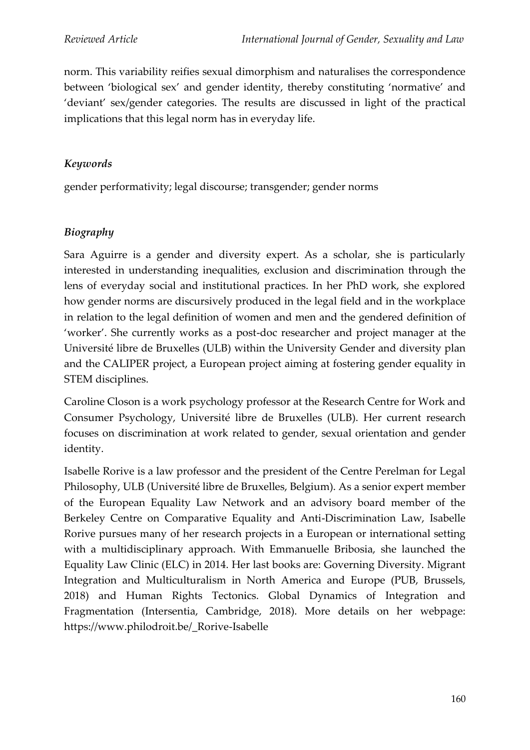norm. This variability reifies sexual dimorphism and naturalises the correspondence between 'biological sex' and gender identity, thereby constituting 'normative' and 'deviant' sex/gender categories. The results are discussed in light of the practical implications that this legal norm has in everyday life.

### *Keywords*

gender performativity; legal discourse; transgender; gender norms

### *Biography*

Sara Aguirre is a gender and diversity expert. As a scholar, she is particularly interested in understanding inequalities, exclusion and discrimination through the lens of everyday social and institutional practices. In her PhD work, she explored how gender norms are discursively produced in the legal field and in the workplace in relation to the legal definition of women and men and the gendered definition of 'worker'. She currently works as a post-doc researcher and project manager at the Université libre de Bruxelles (ULB) within the University Gender and diversity plan and the CALIPER project, a European project aiming at fostering gender equality in STEM disciplines.

Caroline Closon is a work psychology professor at the Research Centre for Work and Consumer Psychology, Université libre de Bruxelles (ULB). Her current research focuses on discrimination at work related to gender, sexual orientation and gender identity.

Isabelle Rorive is a law professor and the president of the Centre Perelman for Legal Philosophy, ULB (Université libre de Bruxelles, Belgium). As a senior expert member of the European Equality Law Network and an advisory board member of the Berkeley Centre on Comparative Equality and Anti-Discrimination Law, Isabelle Rorive pursues many of her research projects in a European or international setting with a multidisciplinary approach. With Emmanuelle Bribosia, she launched the Equality Law Clinic (ELC) in 2014. Her last books are: Governing Diversity. Migrant Integration and Multiculturalism in North America and Europe (PUB, Brussels, 2018) and Human Rights Tectonics. Global Dynamics of Integration and Fragmentation (Intersentia, Cambridge, 2018). More details on her webpage: https://www.philodroit.be/\_Rorive-Isabelle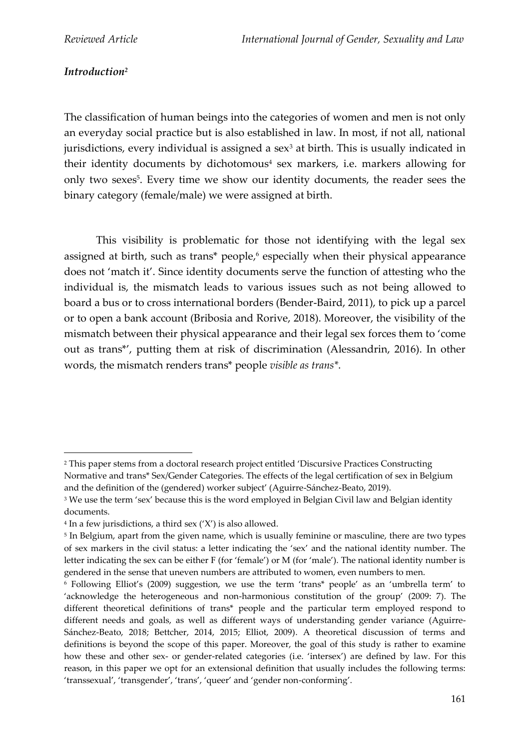### *Introduction<sup>2</sup>*

The classification of human beings into the categories of women and men is not only an everyday social practice but is also established in law. In most, if not all, national jurisdictions, every individual is assigned a sex $3$  at birth. This is usually indicated in their identity documents by dichotomous<sup>4</sup> sex markers, i.e. markers allowing for only two sexes<sup>5</sup>. Every time we show our identity documents, the reader sees the binary category (female/male) we were assigned at birth.

This visibility is problematic for those not identifying with the legal sex assigned at birth, such as trans\* people, <sup>6</sup> especially when their physical appearance does not 'match it'. Since identity documents serve the function of attesting who the individual is, the mismatch leads to various issues such as not being allowed to board a bus or to cross international borders (Bender-Baird, 2011), to pick up a parcel or to open a bank account (Bribosia and Rorive, 2018). Moreover, the visibility of the mismatch between their physical appearance and their legal sex forces them to 'come out as trans\*', putting them at risk of discrimination (Alessandrin, 2016). In other words, the mismatch renders trans\* people *visible as trans\**.

<sup>&</sup>lt;sup>2</sup> This paper stems from a doctoral research project entitled 'Discursive Practices Constructing Normative and trans\* Sex/Gender Categories. The effects of the legal certification of sex in Belgium and the definition of the (gendered) worker subject' (Aguirre-Sánchez-Beato, 2019).

<sup>&</sup>lt;sup>3</sup> We use the term 'sex' because this is the word employed in Belgian Civil law and Belgian identity documents.

<sup>4</sup> In a few jurisdictions, a third sex ('X') is also allowed.

<sup>5</sup> In Belgium, apart from the given name, which is usually feminine or masculine, there are two types of sex markers in the civil status: a letter indicating the 'sex' and the national identity number. The letter indicating the sex can be either F (for 'female') or M (for 'male'). The national identity number is gendered in the sense that uneven numbers are attributed to women, even numbers to men.

<sup>6</sup> Following Elliot's (2009) suggestion, we use the term 'trans\* people' as an 'umbrella term' to 'acknowledge the heterogeneous and non-harmonious constitution of the group' (2009: 7). The different theoretical definitions of trans\* people and the particular term employed respond to different needs and goals, as well as different ways of understanding gender variance (Aguirre-Sánchez-Beato, 2018; Bettcher, 2014, 2015; Elliot, 2009). A theoretical discussion of terms and definitions is beyond the scope of this paper. Moreover, the goal of this study is rather to examine how these and other sex- or gender-related categories (i.e. 'intersex') are defined by law. For this reason, in this paper we opt for an extensional definition that usually includes the following terms: 'transsexual', 'transgender', 'trans', 'queer' and 'gender non-conforming'.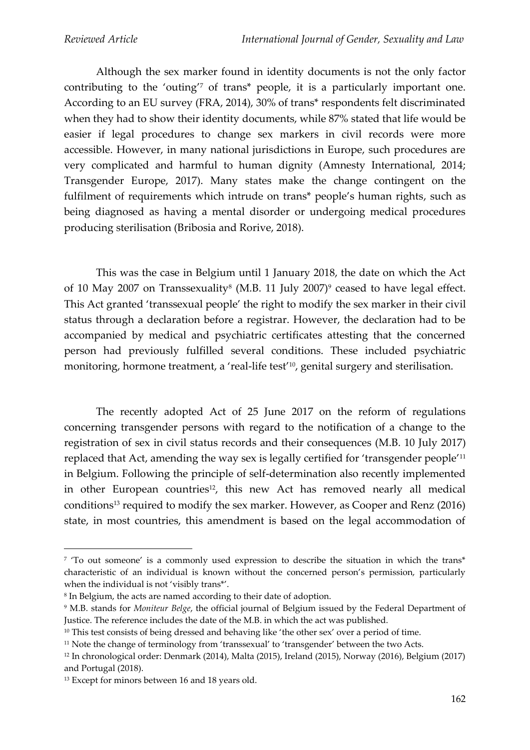Although the sex marker found in identity documents is not the only factor contributing to the 'outing'<sup>7</sup> of trans\* people, it is a particularly important one. According to an EU survey (FRA, 2014), 30% of trans\* respondents felt discriminated when they had to show their identity documents, while 87% stated that life would be easier if legal procedures to change sex markers in civil records were more accessible. However, in many national jurisdictions in Europe, such procedures are very complicated and harmful to human dignity (Amnesty International, 2014; Transgender Europe, 2017). Many states make the change contingent on the fulfilment of requirements which intrude on trans\* people's human rights, such as being diagnosed as having a mental disorder or undergoing medical procedures producing sterilisation (Bribosia and Rorive, 2018).

This was the case in Belgium until 1 January 2018, the date on which the Act of 10 May 2007 on Transsexuality<sup>8</sup> (M.B. 11 July 2007)<sup>9</sup> ceased to have legal effect. This Act granted 'transsexual people' the right to modify the sex marker in their civil status through a declaration before a registrar. However, the declaration had to be accompanied by medical and psychiatric certificates attesting that the concerned person had previously fulfilled several conditions. These included psychiatric monitoring, hormone treatment, a 'real-life test'<sup>10</sup>, genital surgery and sterilisation.

The recently adopted Act of 25 June 2017 on the reform of regulations concerning transgender persons with regard to the notification of a change to the registration of sex in civil status records and their consequences (M.B. 10 July 2017) replaced that Act, amending the way sex is legally certified for 'transgender people'<sup>11</sup> in Belgium. Following the principle of self-determination also recently implemented in other European countries<sup>12</sup>, this new Act has removed nearly all medical conditions<sup>13</sup> required to modify the sex marker. However, as Cooper and Renz (2016) state, in most countries, this amendment is based on the legal accommodation of

<sup>7</sup> 'To out someone' is a commonly used expression to describe the situation in which the trans\* characteristic of an individual is known without the concerned person's permission, particularly when the individual is not 'visibly trans\*'.

 $8$  In Belgium, the acts are named according to their date of adoption.

<sup>9</sup> M.B. stands for *Moniteur Belge*, the official journal of Belgium issued by the Federal Department of Justice. The reference includes the date of the M.B. in which the act was published.

<sup>&</sup>lt;sup>10</sup> This test consists of being dressed and behaving like 'the other sex' over a period of time.

<sup>11</sup> Note the change of terminology from 'transsexual' to 'transgender' between the two Acts.

<sup>12</sup> In chronological order: Denmark (2014), Malta (2015), Ireland (2015), Norway (2016), Belgium (2017) and Portugal (2018).

<sup>&</sup>lt;sup>13</sup> Except for minors between 16 and 18 years old.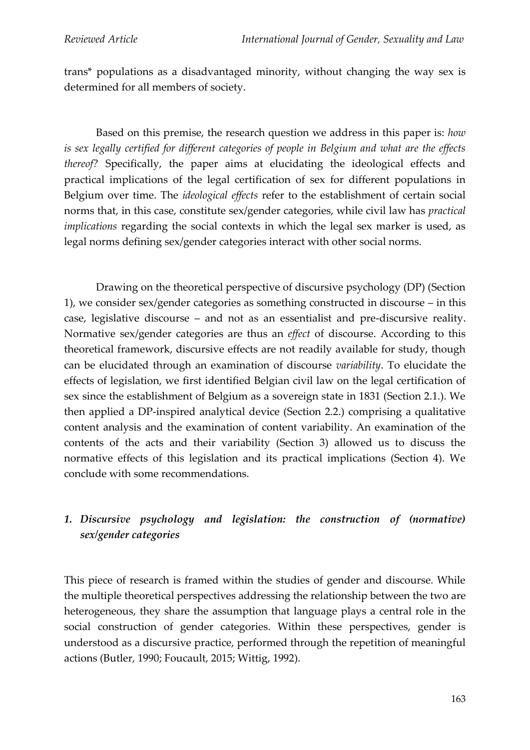trans\* populations as a disadvantaged minority, without changing the way sex is determined for all members of society.

Based on this premise, the research question we address in this paper is: *how is sex legally certified for different categories of people in Belgium and what are the effects thereof?* Specifically, the paper aims at elucidating the ideological effects and practical implications of the legal certification of sex for different populations in Belgium over time. The *ideological effects* refer to the establishment of certain social norms that, in this case, constitute sex/gender categories, while civil law has *practical implications* regarding the social contexts in which the legal sex marker is used, as legal norms defining sex/gender categories interact with other social norms.

Drawing on the theoretical perspective of discursive psychology (DP) (Section 1), we consider sex/gender categories as something constructed in discourse – in this case, legislative discourse – and not as an essentialist and pre-discursive reality. Normative sex/gender categories are thus an *effect* of discourse. According to this theoretical framework, discursive effects are not readily available for study, though can be elucidated through an examination of discourse *variability*. To elucidate the effects of legislation, we first identified Belgian civil law on the legal certification of sex since the establishment of Belgium as a sovereign state in 1831 (Section 2.1.). We then applied a DP-inspired analytical device (Section 2.2.) comprising a qualitative content analysis and the examination of content variability. An examination of the contents of the acts and their variability (Section 3) allowed us to discuss the normative effects of this legislation and its practical implications (Section 4). We conclude with some recommendations.

# *1. Discursive psychology and legislation: the construction of (normative) sex/gender categories*

This piece of research is framed within the studies of gender and discourse. While the multiple theoretical perspectives addressing the relationship between the two are heterogeneous, they share the assumption that language plays a central role in the social construction of gender categories. Within these perspectives, gender is understood as a discursive practice, performed through the repetition of meaningful actions (Butler, 1990; Foucault, 2015; Wittig, 1992).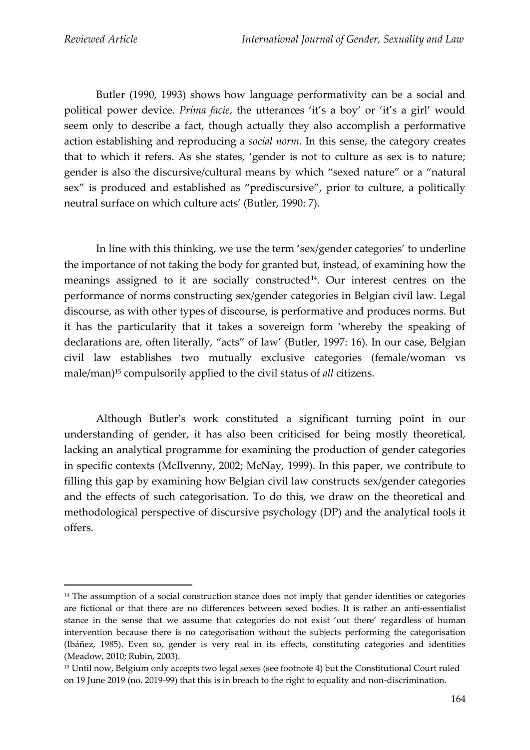Butler (1990, 1993) shows how language performativity can be a social and political power device. *Prima facie*, the utterances 'it's a boy' or 'it's a girl' would seem only to describe a fact, though actually they also accomplish a performative action establishing and reproducing a *social norm*. In this sense, the category creates that to which it refers. As she states, 'gender is not to culture as sex is to nature; gender is also the discursive/cultural means by which "sexed nature" or a "natural sex" is produced and established as "prediscursive", prior to culture, a politically neutral surface on which culture acts' (Butler, 1990: 7).

In line with this thinking, we use the term 'sex/gender categories' to underline the importance of not taking the body for granted but, instead, of examining how the meanings assigned to it are socially constructed<sup>14</sup>. Our interest centres on the performance of norms constructing sex/gender categories in Belgian civil law. Legal discourse, as with other types of discourse, is performative and produces norms. But it has the particularity that it takes a sovereign form 'whereby the speaking of declarations are, often literally, "acts" of law' (Butler, 1997: 16). In our case, Belgian civil law establishes two mutually exclusive categories (female/woman vs male/man)<sup>15</sup> compulsorily applied to the civil status of *all* citizens.

Although Butler's work constituted a significant turning point in our understanding of gender, it has also been criticised for being mostly theoretical, lacking an analytical programme for examining the production of gender categories in specific contexts (McIlvenny, 2002; McNay, 1999). In this paper, we contribute to filling this gap by examining how Belgian civil law constructs sex/gender categories and the effects of such categorisation. To do this, we draw on the theoretical and methodological perspective of discursive psychology (DP) and the analytical tools it offers.

<sup>&</sup>lt;sup>14</sup> The assumption of a social construction stance does not imply that gender identities or categories are fictional or that there are no differences between sexed bodies. It is rather an anti-essentialist stance in the sense that we assume that categories do not exist 'out there' regardless of human intervention because there is no categorisation without the subjects performing the categorisation (Ibáñez, 1985). Even so, gender is very real in its effects, constituting categories and identities (Meadow, 2010; Rubin, 2003).

<sup>15</sup> Until now, Belgium only accepts two legal sexes (see footnote 4) but the Constitutional Court ruled on 19 June 2019 (no. 2019-99) that this is in breach to the right to equality and non-discrimination.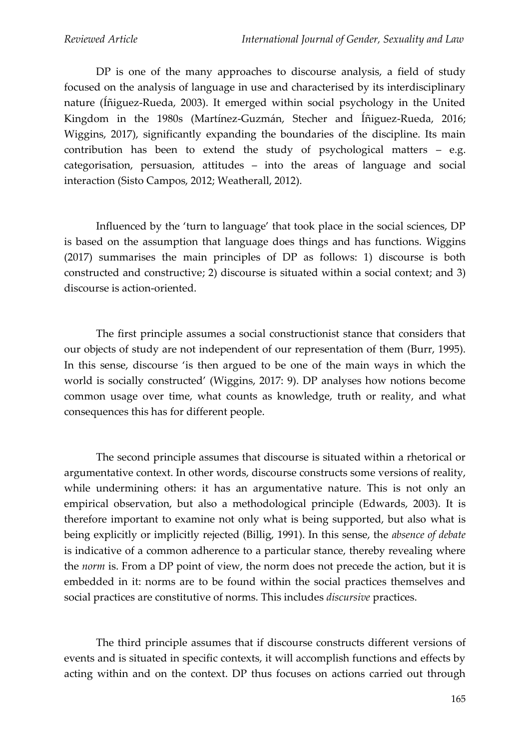DP is one of the many approaches to discourse analysis, a field of study focused on the analysis of language in use and characterised by its interdisciplinary nature (Íñiguez-Rueda, 2003). It emerged within social psychology in the United Kingdom in the 1980s (Martínez-Guzmán, Stecher and Íñiguez-Rueda, 2016; Wiggins, 2017), significantly expanding the boundaries of the discipline. Its main contribution has been to extend the study of psychological matters – e.g. categorisation, persuasion, attitudes – into the areas of language and social interaction (Sisto Campos, 2012; Weatherall, 2012).

Influenced by the 'turn to language' that took place in the social sciences, DP is based on the assumption that language does things and has functions. Wiggins (2017) summarises the main principles of DP as follows: 1) discourse is both constructed and constructive; 2) discourse is situated within a social context; and 3) discourse is action-oriented.

The first principle assumes a social constructionist stance that considers that our objects of study are not independent of our representation of them (Burr, 1995). In this sense, discourse 'is then argued to be one of the main ways in which the world is socially constructed' (Wiggins, 2017: 9). DP analyses how notions become common usage over time, what counts as knowledge, truth or reality, and what consequences this has for different people.

The second principle assumes that discourse is situated within a rhetorical or argumentative context. In other words, discourse constructs some versions of reality, while undermining others: it has an argumentative nature. This is not only an empirical observation, but also a methodological principle (Edwards, 2003). It is therefore important to examine not only what is being supported, but also what is being explicitly or implicitly rejected (Billig, 1991). In this sense, the *absence of debate* is indicative of a common adherence to a particular stance, thereby revealing where the *norm* is. From a DP point of view, the norm does not precede the action, but it is embedded in it: norms are to be found within the social practices themselves and social practices are constitutive of norms. This includes *discursive* practices.

The third principle assumes that if discourse constructs different versions of events and is situated in specific contexts, it will accomplish functions and effects by acting within and on the context. DP thus focuses on actions carried out through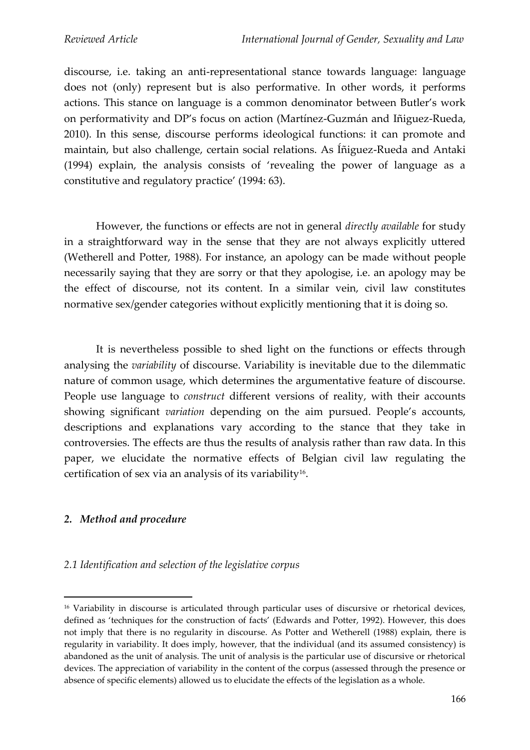discourse, i.e. taking an anti-representational stance towards language: language does not (only) represent but is also performative. In other words, it performs actions. This stance on language is a common denominator between Butler's work on performativity and DP's focus on action (Martínez-Guzmán and Iñiguez-Rueda, 2010). In this sense, discourse performs ideological functions: it can promote and maintain, but also challenge, certain social relations. As Íñiguez-Rueda and Antaki (1994) explain, the analysis consists of 'revealing the power of language as a constitutive and regulatory practice' (1994: 63).

However, the functions or effects are not in general *directly available* for study in a straightforward way in the sense that they are not always explicitly uttered (Wetherell and Potter, 1988). For instance, an apology can be made without people necessarily saying that they are sorry or that they apologise, i.e. an apology may be the effect of discourse, not its content. In a similar vein, civil law constitutes normative sex/gender categories without explicitly mentioning that it is doing so.

It is nevertheless possible to shed light on the functions or effects through analysing the *variability* of discourse. Variability is inevitable due to the dilemmatic nature of common usage, which determines the argumentative feature of discourse. People use language to *construct* different versions of reality, with their accounts showing significant *variation* depending on the aim pursued. People's accounts, descriptions and explanations vary according to the stance that they take in controversies. The effects are thus the results of analysis rather than raw data. In this paper, we elucidate the normative effects of Belgian civil law regulating the certification of sex via an analysis of its variability<sup>16</sup>.

### *2. Method and procedure*

#### *2.1 Identification and selection of the legislative corpus*

<sup>&</sup>lt;sup>16</sup> Variability in discourse is articulated through particular uses of discursive or rhetorical devices, defined as 'techniques for the construction of facts' (Edwards and Potter, 1992). However, this does not imply that there is no regularity in discourse. As Potter and Wetherell (1988) explain, there is regularity in variability. It does imply, however, that the individual (and its assumed consistency) is abandoned as the unit of analysis. The unit of analysis is the particular use of discursive or rhetorical devices. The appreciation of variability in the content of the corpus (assessed through the presence or absence of specific elements) allowed us to elucidate the effects of the legislation as a whole.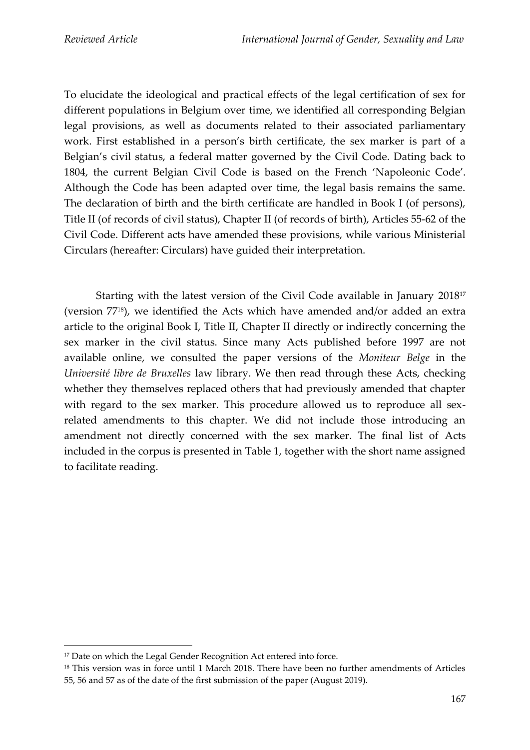To elucidate the ideological and practical effects of the legal certification of sex for different populations in Belgium over time, we identified all corresponding Belgian legal provisions, as well as documents related to their associated parliamentary work. First established in a person's birth certificate, the sex marker is part of a Belgian's civil status, a federal matter governed by the Civil Code. Dating back to 1804, the current Belgian Civil Code is based on the French 'Napoleonic Code'. Although the Code has been adapted over time, the legal basis remains the same. The declaration of birth and the birth certificate are handled in Book I (of persons), Title II (of records of civil status), Chapter II (of records of birth), Articles 55-62 of the Civil Code. Different acts have amended these provisions, while various Ministerial Circulars (hereafter: Circulars) have guided their interpretation.

Starting with the latest version of the Civil Code available in January 2018<sup>17</sup> (version 7718), we identified the Acts which have amended and/or added an extra article to the original Book I, Title II, Chapter II directly or indirectly concerning the sex marker in the civil status. Since many Acts published before 1997 are not available online, we consulted the paper versions of the *Moniteur Belge* in the *Université libre de Bruxelles* law library. We then read through these Acts, checking whether they themselves replaced others that had previously amended that chapter with regard to the sex marker. This procedure allowed us to reproduce all sexrelated amendments to this chapter. We did not include those introducing an amendment not directly concerned with the sex marker. The final list of Acts included in the corpus is presented in Table 1, together with the short name assigned to facilitate reading.

<sup>&</sup>lt;sup>17</sup> Date on which the Legal Gender Recognition Act entered into force.

<sup>&</sup>lt;sup>18</sup> This version was in force until 1 March 2018. There have been no further amendments of Articles 55, 56 and 57 as of the date of the first submission of the paper (August 2019).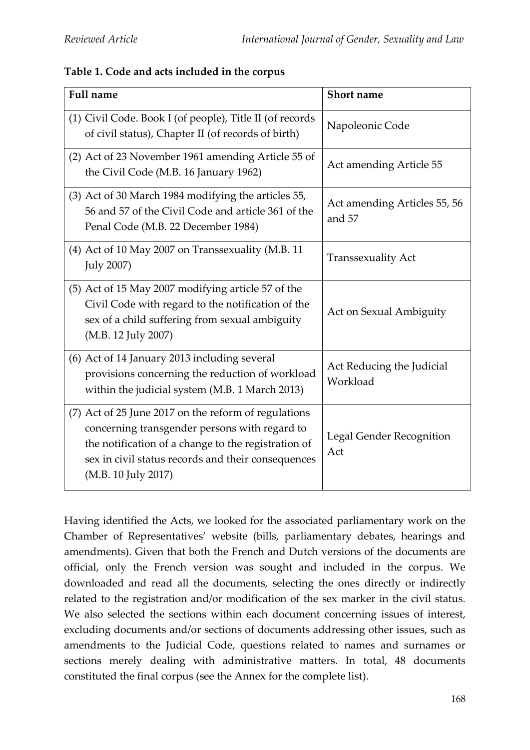| Table 1. Code and acts included in the corpus |  |
|-----------------------------------------------|--|
|-----------------------------------------------|--|

| <b>Full name</b>                                                                                                                                                                                                                          | <b>Short name</b>                      |
|-------------------------------------------------------------------------------------------------------------------------------------------------------------------------------------------------------------------------------------------|----------------------------------------|
| (1) Civil Code. Book I (of people), Title II (of records<br>of civil status), Chapter II (of records of birth)                                                                                                                            | Napoleonic Code                        |
| (2) Act of 23 November 1961 amending Article 55 of<br>the Civil Code (M.B. 16 January 1962)                                                                                                                                               | Act amending Article 55                |
| (3) Act of 30 March 1984 modifying the articles 55,<br>56 and 57 of the Civil Code and article 361 of the<br>Penal Code (M.B. 22 December 1984)                                                                                           | Act amending Articles 55, 56<br>and 57 |
| (4) Act of 10 May 2007 on Transsexuality (M.B. 11)<br><b>July 2007)</b>                                                                                                                                                                   | <b>Transsexuality Act</b>              |
| (5) Act of 15 May 2007 modifying article 57 of the<br>Civil Code with regard to the notification of the<br>sex of a child suffering from sexual ambiguity<br>(M.B. 12 July 2007)                                                          | Act on Sexual Ambiguity                |
| (6) Act of 14 January 2013 including several<br>provisions concerning the reduction of workload<br>within the judicial system (M.B. 1 March 2013)                                                                                         | Act Reducing the Judicial<br>Workload  |
| (7) Act of 25 June 2017 on the reform of regulations<br>concerning transgender persons with regard to<br>the notification of a change to the registration of<br>sex in civil status records and their consequences<br>(M.B. 10 July 2017) | Legal Gender Recognition<br>Act        |

Having identified the Acts, we looked for the associated parliamentary work on the Chamber of Representatives' website (bills, parliamentary debates, hearings and amendments). Given that both the French and Dutch versions of the documents are official, only the French version was sought and included in the corpus. We downloaded and read all the documents, selecting the ones directly or indirectly related to the registration and/or modification of the sex marker in the civil status. We also selected the sections within each document concerning issues of interest, excluding documents and/or sections of documents addressing other issues, such as amendments to the Judicial Code, questions related to names and surnames or sections merely dealing with administrative matters. In total, 48 documents constituted the final corpus (see the Annex for the complete list).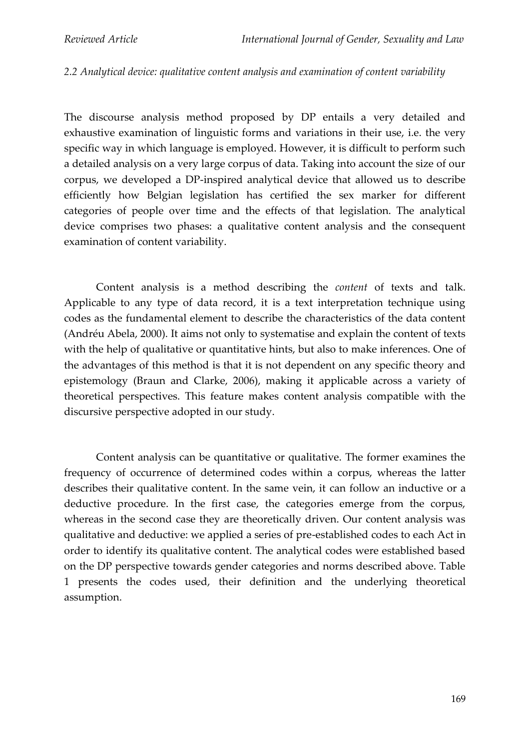#### *2.2 Analytical device: qualitative content analysis and examination of content variability*

The discourse analysis method proposed by DP entails a very detailed and exhaustive examination of linguistic forms and variations in their use, i.e. the very specific way in which language is employed. However, it is difficult to perform such a detailed analysis on a very large corpus of data. Taking into account the size of our corpus, we developed a DP-inspired analytical device that allowed us to describe efficiently how Belgian legislation has certified the sex marker for different categories of people over time and the effects of that legislation. The analytical device comprises two phases: a qualitative content analysis and the consequent examination of content variability.

Content analysis is a method describing the *content* of texts and talk. Applicable to any type of data record, it is a text interpretation technique using codes as the fundamental element to describe the characteristics of the data content (Andréu Abela, 2000). It aims not only to systematise and explain the content of texts with the help of qualitative or quantitative hints, but also to make inferences. One of the advantages of this method is that it is not dependent on any specific theory and epistemology (Braun and Clarke, 2006), making it applicable across a variety of theoretical perspectives. This feature makes content analysis compatible with the discursive perspective adopted in our study.

Content analysis can be quantitative or qualitative. The former examines the frequency of occurrence of determined codes within a corpus, whereas the latter describes their qualitative content. In the same vein, it can follow an inductive or a deductive procedure. In the first case, the categories emerge from the corpus, whereas in the second case they are theoretically driven. Our content analysis was qualitative and deductive: we applied a series of pre-established codes to each Act in order to identify its qualitative content. The analytical codes were established based on the DP perspective towards gender categories and norms described above. Table 1 presents the codes used, their definition and the underlying theoretical assumption.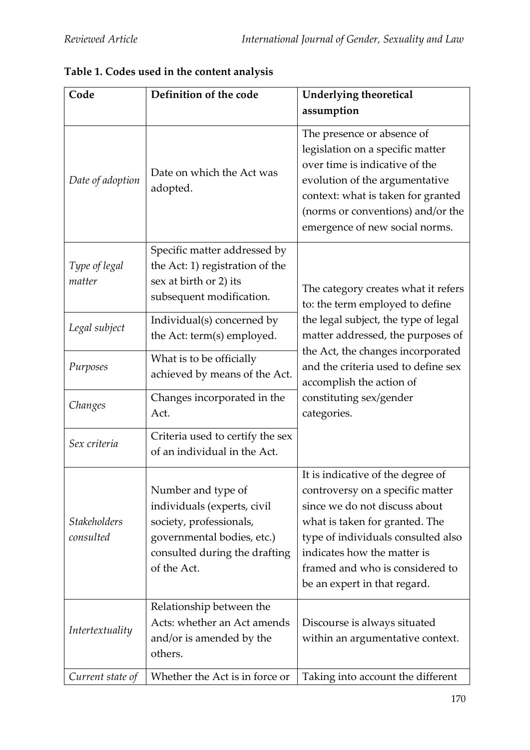| Code                             | Definition of the code                                                                                                                                     | Underlying theoretical<br>assumption                                                                                                                                                                                                                                             |  |  |  |
|----------------------------------|------------------------------------------------------------------------------------------------------------------------------------------------------------|----------------------------------------------------------------------------------------------------------------------------------------------------------------------------------------------------------------------------------------------------------------------------------|--|--|--|
| Date of adoption                 | Date on which the Act was<br>adopted.                                                                                                                      | The presence or absence of<br>legislation on a specific matter<br>over time is indicative of the<br>evolution of the argumentative<br>context: what is taken for granted<br>(norms or conventions) and/or the<br>emergence of new social norms.                                  |  |  |  |
| Type of legal<br>matter          | Specific matter addressed by<br>the Act: 1) registration of the<br>sex at birth or 2) its<br>subsequent modification.                                      | The category creates what it refers<br>to: the term employed to define                                                                                                                                                                                                           |  |  |  |
| Legal subject                    | Individual(s) concerned by<br>the Act: term(s) employed.                                                                                                   | the legal subject, the type of legal<br>matter addressed, the purposes of                                                                                                                                                                                                        |  |  |  |
| Purposes                         | What is to be officially<br>achieved by means of the Act.                                                                                                  | the Act, the changes incorporated<br>and the criteria used to define sex<br>accomplish the action of                                                                                                                                                                             |  |  |  |
| Changes                          | Changes incorporated in the<br>Act.                                                                                                                        | constituting sex/gender<br>categories.                                                                                                                                                                                                                                           |  |  |  |
| Sex criteria                     | Criteria used to certify the sex<br>of an individual in the Act.                                                                                           |                                                                                                                                                                                                                                                                                  |  |  |  |
| <b>Stakeholders</b><br>consulted | Number and type of<br>individuals (experts, civil<br>society, professionals,<br>governmental bodies, etc.)<br>consulted during the drafting<br>of the Act. | It is indicative of the degree of<br>controversy on a specific matter<br>since we do not discuss about<br>what is taken for granted. The<br>type of individuals consulted also<br>indicates how the matter is<br>framed and who is considered to<br>be an expert in that regard. |  |  |  |
| Intertextuality                  | Relationship between the<br>Acts: whether an Act amends<br>and/or is amended by the<br>others.                                                             | Discourse is always situated<br>within an argumentative context.                                                                                                                                                                                                                 |  |  |  |
| Current state of                 | Whether the Act is in force or                                                                                                                             | Taking into account the different                                                                                                                                                                                                                                                |  |  |  |

**Table 1. Codes used in the content analysis**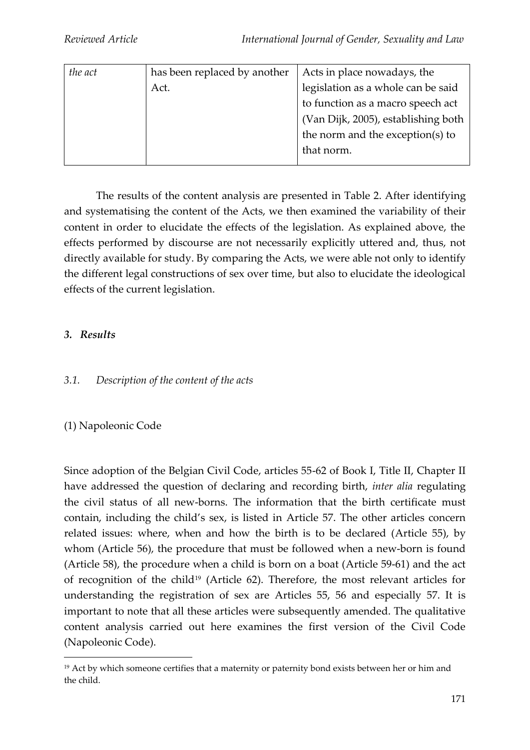| the act | has been replaced by another | Acts in place nowadays, the         |
|---------|------------------------------|-------------------------------------|
|         | Act.                         | legislation as a whole can be said  |
|         |                              | to function as a macro speech act   |
|         |                              | (Van Dijk, 2005), establishing both |
|         |                              | the norm and the exception(s) to    |
|         |                              | that norm.                          |
|         |                              |                                     |

The results of the content analysis are presented in Table 2. After identifying and systematising the content of the Acts, we then examined the variability of their content in order to elucidate the effects of the legislation. As explained above, the effects performed by discourse are not necessarily explicitly uttered and, thus, not directly available for study. By comparing the Acts, we were able not only to identify the different legal constructions of sex over time, but also to elucidate the ideological effects of the current legislation.

## *3. Results*

## *3.1. Description of the content of the acts*

## (1) Napoleonic Code

Since adoption of the Belgian Civil Code, articles 55-62 of Book I, Title II, Chapter II have addressed the question of declaring and recording birth, *inter alia* regulating the civil status of all new-borns. The information that the birth certificate must contain, including the child's sex, is listed in Article 57. The other articles concern related issues: where, when and how the birth is to be declared (Article 55), by whom (Article 56), the procedure that must be followed when a new-born is found (Article 58), the procedure when a child is born on a boat (Article 59-61) and the act of recognition of the child<sup>19</sup> (Article 62). Therefore, the most relevant articles for understanding the registration of sex are Articles 55, 56 and especially 57. It is important to note that all these articles were subsequently amended. The qualitative content analysis carried out here examines the first version of the Civil Code (Napoleonic Code).

<sup>19</sup> Act by which someone certifies that a maternity or paternity bond exists between her or him and the child.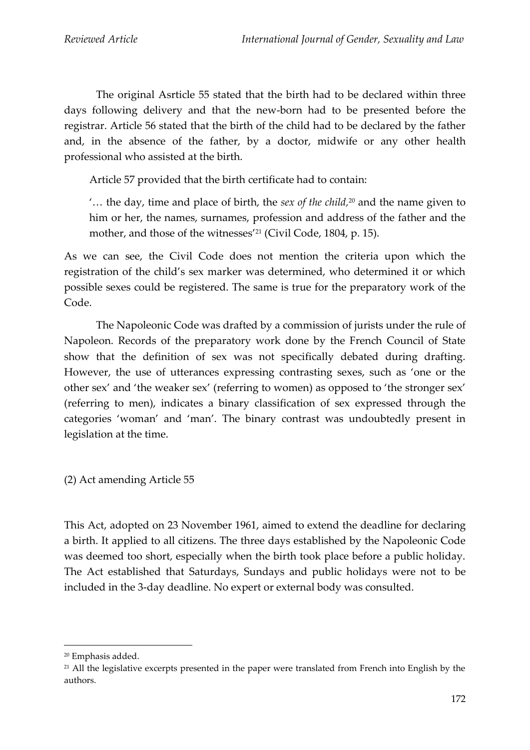The original Asrticle 55 stated that the birth had to be declared within three days following delivery and that the new-born had to be presented before the registrar. Article 56 stated that the birth of the child had to be declared by the father and, in the absence of the father, by a doctor, midwife or any other health professional who assisted at the birth.

Article 57 provided that the birth certificate had to contain:

'… the day, time and place of birth, the *sex of the child,* <sup>20</sup> and the name given to him or her, the names, surnames, profession and address of the father and the mother, and those of the witnesses<sup>'21</sup> (Civil Code, 1804, p. 15).

As we can see, the Civil Code does not mention the criteria upon which the registration of the child's sex marker was determined, who determined it or which possible sexes could be registered. The same is true for the preparatory work of the Code.

The Napoleonic Code was drafted by a commission of jurists under the rule of Napoleon. Records of the preparatory work done by the French Council of State show that the definition of sex was not specifically debated during drafting. However, the use of utterances expressing contrasting sexes, such as 'one or the other sex' and 'the weaker sex' (referring to women) as opposed to 'the stronger sex' (referring to men), indicates a binary classification of sex expressed through the categories 'woman' and 'man'. The binary contrast was undoubtedly present in legislation at the time.

(2) Act amending Article 55

This Act, adopted on 23 November 1961, aimed to extend the deadline for declaring a birth. It applied to all citizens. The three days established by the Napoleonic Code was deemed too short, especially when the birth took place before a public holiday. The Act established that Saturdays, Sundays and public holidays were not to be included in the 3-day deadline. No expert or external body was consulted.

<sup>20</sup> Emphasis added.

<sup>&</sup>lt;sup>21</sup> All the legislative excerpts presented in the paper were translated from French into English by the authors.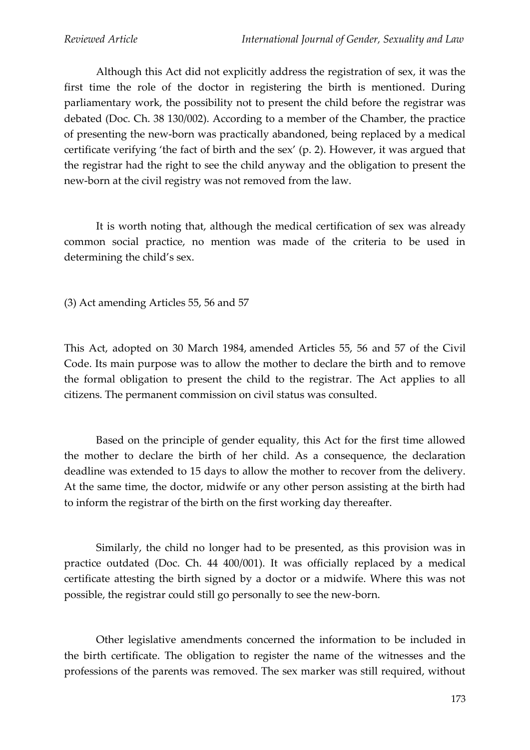Although this Act did not explicitly address the registration of sex, it was the first time the role of the doctor in registering the birth is mentioned. During parliamentary work, the possibility not to present the child before the registrar was debated (Doc. Ch. 38 130/002). According to a member of the Chamber, the practice of presenting the new-born was practically abandoned, being replaced by a medical certificate verifying 'the fact of birth and the sex' (p. 2). However, it was argued that the registrar had the right to see the child anyway and the obligation to present the new-born at the civil registry was not removed from the law.

It is worth noting that, although the medical certification of sex was already common social practice, no mention was made of the criteria to be used in determining the child's sex.

(3) Act amending Articles 55, 56 and 57

This Act, adopted on 30 March 1984, amended Articles 55, 56 and 57 of the Civil Code. Its main purpose was to allow the mother to declare the birth and to remove the formal obligation to present the child to the registrar. The Act applies to all citizens. The permanent commission on civil status was consulted.

Based on the principle of gender equality, this Act for the first time allowed the mother to declare the birth of her child. As a consequence, the declaration deadline was extended to 15 days to allow the mother to recover from the delivery. At the same time, the doctor, midwife or any other person assisting at the birth had to inform the registrar of the birth on the first working day thereafter.

Similarly, the child no longer had to be presented, as this provision was in practice outdated (Doc. Ch. 44 400/001). It was officially replaced by a medical certificate attesting the birth signed by a doctor or a midwife. Where this was not possible, the registrar could still go personally to see the new-born.

Other legislative amendments concerned the information to be included in the birth certificate. The obligation to register the name of the witnesses and the professions of the parents was removed. The sex marker was still required, without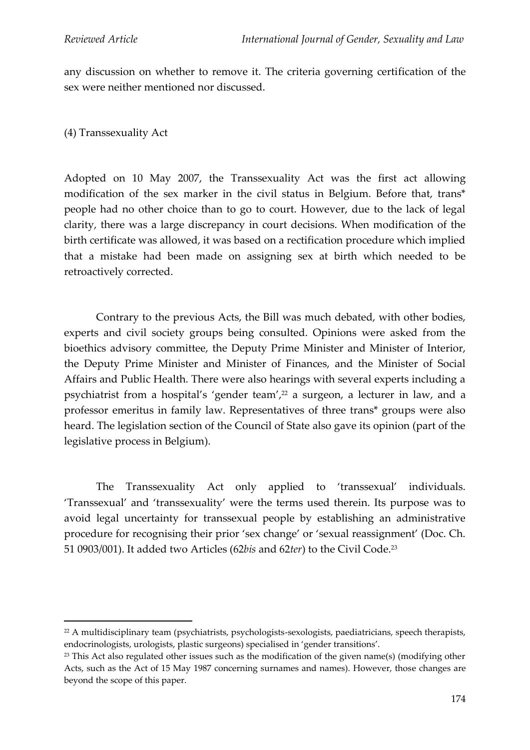any discussion on whether to remove it. The criteria governing certification of the sex were neither mentioned nor discussed.

(4) Transsexuality Act

Adopted on 10 May 2007, the Transsexuality Act was the first act allowing modification of the sex marker in the civil status in Belgium. Before that, trans\* people had no other choice than to go to court. However, due to the lack of legal clarity, there was a large discrepancy in court decisions. When modification of the birth certificate was allowed, it was based on a rectification procedure which implied that a mistake had been made on assigning sex at birth which needed to be retroactively corrected.

Contrary to the previous Acts, the Bill was much debated, with other bodies, experts and civil society groups being consulted. Opinions were asked from the bioethics advisory committee, the Deputy Prime Minister and Minister of Interior, the Deputy Prime Minister and Minister of Finances, and the Minister of Social Affairs and Public Health. There were also hearings with several experts including a psychiatrist from a hospital's 'gender team', <sup>22</sup> a surgeon, a lecturer in law, and a professor emeritus in family law. Representatives of three trans\* groups were also heard. The legislation section of the Council of State also gave its opinion (part of the legislative process in Belgium).

The Transsexuality Act only applied to 'transsexual' individuals. 'Transsexual' and 'transsexuality' were the terms used therein. Its purpose was to avoid legal uncertainty for transsexual people by establishing an administrative procedure for recognising their prior 'sex change' or 'sexual reassignment' (Doc. Ch. 51 0903/001). It added two Articles (62*bis* and 62*ter*) to the Civil Code. 23

<sup>&</sup>lt;sup>22</sup> A multidisciplinary team (psychiatrists, psychologists-sexologists, paediatricians, speech therapists, endocrinologists, urologists, plastic surgeons) specialised in 'gender transitions'.

 $23$  This Act also regulated other issues such as the modification of the given name(s) (modifying other Acts, such as the Act of 15 May 1987 concerning surnames and names). However, those changes are beyond the scope of this paper.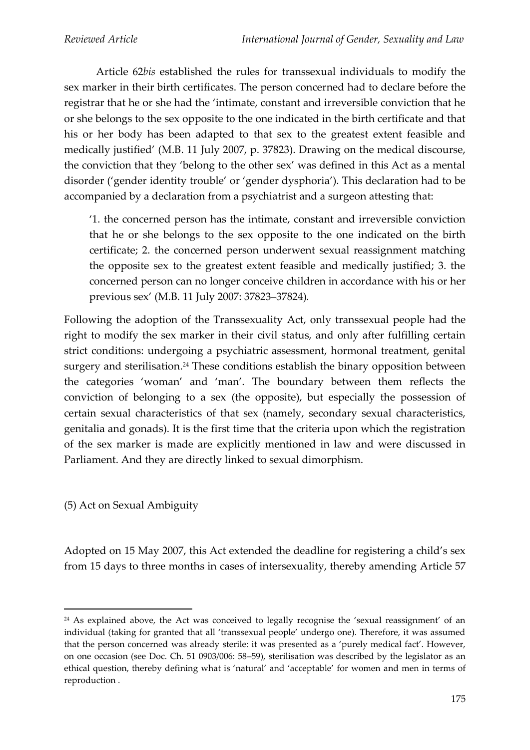Article 62*bis* established the rules for transsexual individuals to modify the sex marker in their birth certificates. The person concerned had to declare before the registrar that he or she had the 'intimate, constant and irreversible conviction that he or she belongs to the sex opposite to the one indicated in the birth certificate and that his or her body has been adapted to that sex to the greatest extent feasible and medically justified' (M.B. 11 July 2007, p. 37823). Drawing on the medical discourse, the conviction that they 'belong to the other sex' was defined in this Act as a mental disorder ('gender identity trouble' or 'gender dysphoria'). This declaration had to be accompanied by a declaration from a psychiatrist and a surgeon attesting that:

'1. the concerned person has the intimate, constant and irreversible conviction that he or she belongs to the sex opposite to the one indicated on the birth certificate; 2. the concerned person underwent sexual reassignment matching the opposite sex to the greatest extent feasible and medically justified; 3. the concerned person can no longer conceive children in accordance with his or her previous sex' (M.B. 11 July 2007: 37823–37824)*.*

Following the adoption of the Transsexuality Act, only transsexual people had the right to modify the sex marker in their civil status, and only after fulfilling certain strict conditions: undergoing a psychiatric assessment, hormonal treatment, genital surgery and sterilisation. <sup>24</sup> These conditions establish the binary opposition between the categories 'woman' and 'man'. The boundary between them reflects the conviction of belonging to a sex (the opposite), but especially the possession of certain sexual characteristics of that sex (namely, secondary sexual characteristics, genitalia and gonads). It is the first time that the criteria upon which the registration of the sex marker is made are explicitly mentioned in law and were discussed in Parliament. And they are directly linked to sexual dimorphism.

(5) Act on Sexual Ambiguity

Adopted on 15 May 2007, this Act extended the deadline for registering a child's sex from 15 days to three months in cases of intersexuality, thereby amending Article 57

<sup>&</sup>lt;sup>24</sup> As explained above, the Act was conceived to legally recognise the 'sexual reassignment' of an individual (taking for granted that all 'transsexual people' undergo one). Therefore, it was assumed that the person concerned was already sterile: it was presented as a 'purely medical fact'. However, on one occasion (see Doc. Ch. 51 0903/006: 58–59), sterilisation was described by the legislator as an ethical question, thereby defining what is 'natural' and 'acceptable' for women and men in terms of reproduction .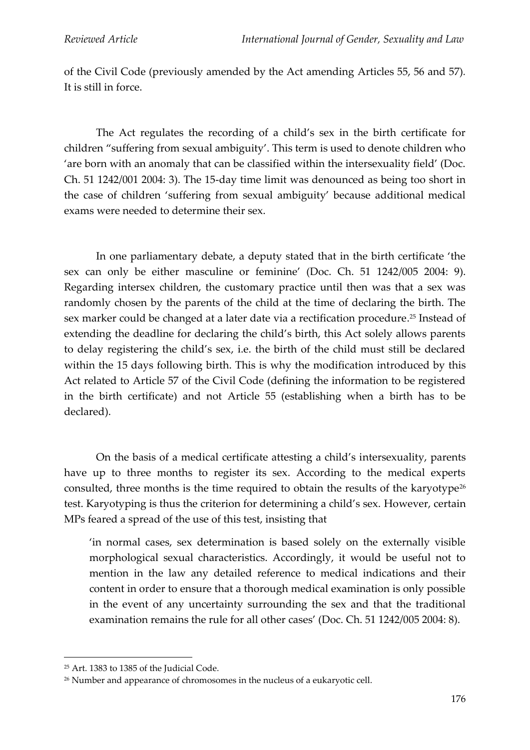of the Civil Code (previously amended by the Act amending Articles 55, 56 and 57)*.*  It is still in force.

The Act regulates the recording of a child's sex in the birth certificate for children "suffering from sexual ambiguity'. This term is used to denote children who 'are born with an anomaly that can be classified within the intersexuality field' (Doc. Ch. 51 1242/001 2004: 3). The 15-day time limit was denounced as being too short in the case of children 'suffering from sexual ambiguity' because additional medical exams were needed to determine their sex.

In one parliamentary debate, a deputy stated that in the birth certificate 'the sex can only be either masculine or feminine' (Doc. Ch. 51 1242/005 2004: 9). Regarding intersex children, the customary practice until then was that a sex was randomly chosen by the parents of the child at the time of declaring the birth. The sex marker could be changed at a later date via a rectification procedure. <sup>25</sup> Instead of extending the deadline for declaring the child's birth, this Act solely allows parents to delay registering the child's sex, i.e. the birth of the child must still be declared within the 15 days following birth. This is why the modification introduced by this Act related to Article 57 of the Civil Code (defining the information to be registered in the birth certificate) and not Article 55 (establishing when a birth has to be declared).

On the basis of a medical certificate attesting a child's intersexuality, parents have up to three months to register its sex. According to the medical experts consulted, three months is the time required to obtain the results of the karyotype<sup>26</sup> test. Karyotyping is thus the criterion for determining a child's sex. However, certain MPs feared a spread of the use of this test, insisting that

'in normal cases, sex determination is based solely on the externally visible morphological sexual characteristics. Accordingly, it would be useful not to mention in the law any detailed reference to medical indications and their content in order to ensure that a thorough medical examination is only possible in the event of any uncertainty surrounding the sex and that the traditional examination remains the rule for all other cases' (Doc. Ch. 51 1242/005 2004: 8).

<sup>25</sup> Art. 1383 to 1385 of the Judicial Code.

<sup>26</sup> Number and appearance of chromosomes in the nucleus of a eukaryotic cell.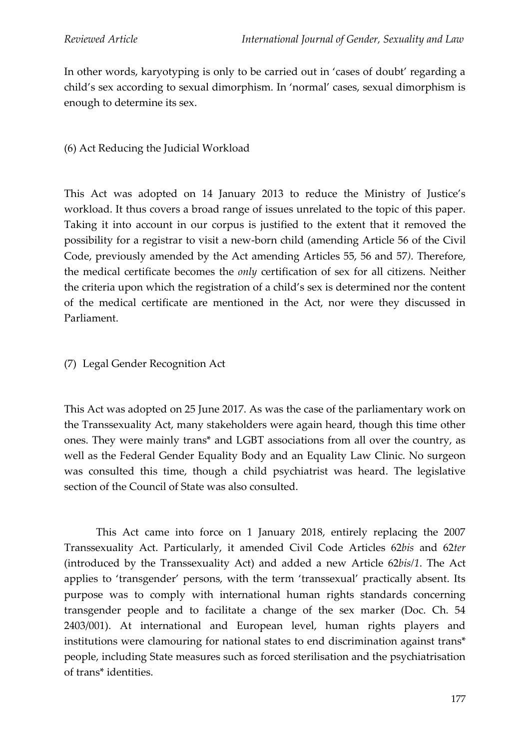In other words, karyotyping is only to be carried out in 'cases of doubt' regarding a child's sex according to sexual dimorphism. In 'normal' cases, sexual dimorphism is enough to determine its sex.

### (6) Act Reducing the Judicial Workload

This Act was adopted on 14 January 2013 to reduce the Ministry of Justice's workload. It thus covers a broad range of issues unrelated to the topic of this paper. Taking it into account in our corpus is justified to the extent that it removed the possibility for a registrar to visit a new-born child (amending Article 56 of the Civil Code, previously amended by the Act amending Articles 55, 56 and 57*)*. Therefore, the medical certificate becomes the *only* certification of sex for all citizens. Neither the criteria upon which the registration of a child's sex is determined nor the content of the medical certificate are mentioned in the Act, nor were they discussed in Parliament.

### (7) Legal Gender Recognition Act

This Act was adopted on 25 June 2017. As was the case of the parliamentary work on the Transsexuality Act, many stakeholders were again heard, though this time other ones. They were mainly trans\* and LGBT associations from all over the country, as well as the Federal Gender Equality Body and an Equality Law Clinic. No surgeon was consulted this time, though a child psychiatrist was heard. The legislative section of the Council of State was also consulted.

This Act came into force on 1 January 2018, entirely replacing the 2007 Transsexuality Act. Particularly, it amended Civil Code Articles 62*bis* and 62*ter* (introduced by the Transsexuality Act) and added a new Article 62*bis/1*. The Act applies to 'transgender' persons, with the term 'transsexual' practically absent. Its purpose was to comply with international human rights standards concerning transgender people and to facilitate a change of the sex marker (Doc. Ch. 54 2403/001). At international and European level, human rights players and institutions were clamouring for national states to end discrimination against trans\* people, including State measures such as forced sterilisation and the psychiatrisation of trans\* identities.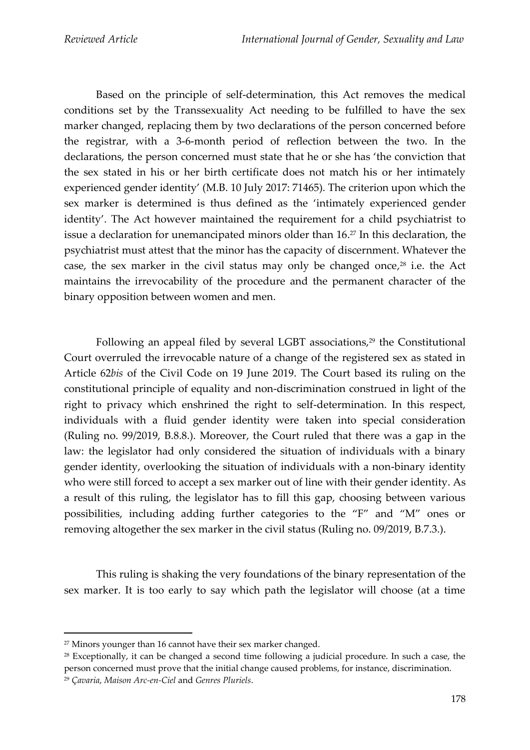Based on the principle of self-determination, this Act removes the medical conditions set by the Transsexuality Act needing to be fulfilled to have the sex marker changed, replacing them by two declarations of the person concerned before the registrar, with a 3-6-month period of reflection between the two. In the declarations, the person concerned must state that he or she has 'the conviction that the sex stated in his or her birth certificate does not match his or her intimately experienced gender identity' (M.B. 10 July 2017: 71465). The criterion upon which the sex marker is determined is thus defined as the 'intimately experienced gender identity'. The Act however maintained the requirement for a child psychiatrist to issue a declaration for unemancipated minors older than 16. <sup>27</sup> In this declaration, the psychiatrist must attest that the minor has the capacity of discernment. Whatever the case, the sex marker in the civil status may only be changed once, <sup>28</sup> i.e. the Act maintains the irrevocability of the procedure and the permanent character of the binary opposition between women and men.

Following an appeal filed by several LGBT associations, <sup>29</sup> the Constitutional Court overruled the irrevocable nature of a change of the registered sex as stated in Article 62*bis* of the Civil Code on 19 June 2019. The Court based its ruling on the constitutional principle of equality and non-discrimination construed in light of the right to privacy which enshrined the right to self-determination. In this respect, individuals with a fluid gender identity were taken into special consideration (Ruling no. 99/2019, B.8.8.). Moreover, the Court ruled that there was a gap in the law: the legislator had only considered the situation of individuals with a binary gender identity, overlooking the situation of individuals with a non-binary identity who were still forced to accept a sex marker out of line with their gender identity. As a result of this ruling, the legislator has to fill this gap, choosing between various possibilities, including adding further categories to the "F" and "M" ones or removing altogether the sex marker in the civil status (Ruling no. 09/2019, B.7.3.).

This ruling is shaking the very foundations of the binary representation of the sex marker. It is too early to say which path the legislator will choose (at a time

<sup>27</sup> Minors younger than 16 cannot have their sex marker changed.

<sup>&</sup>lt;sup>28</sup> Exceptionally, it can be changed a second time following a judicial procedure. In such a case, the person concerned must prove that the initial change caused problems, for instance, discrimination. <sup>29</sup> *Çavaria*, *Maison Arc-en-Ciel* and *Genres Pluriels*.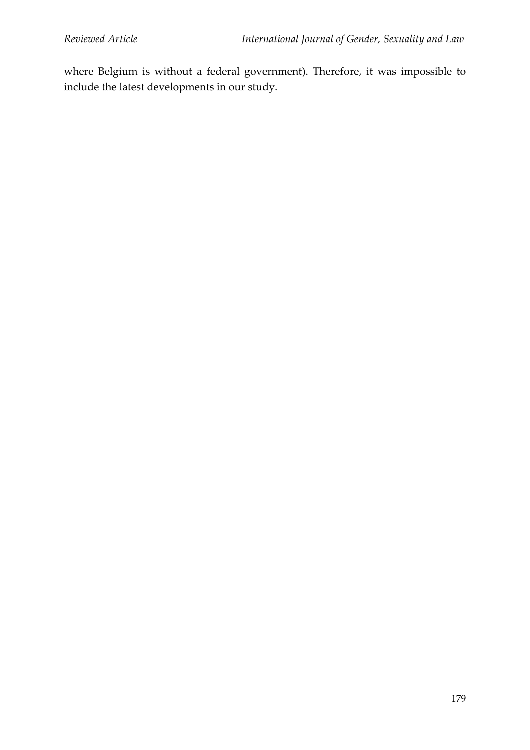where Belgium is without a federal government). Therefore, it was impossible to include the latest developments in our study.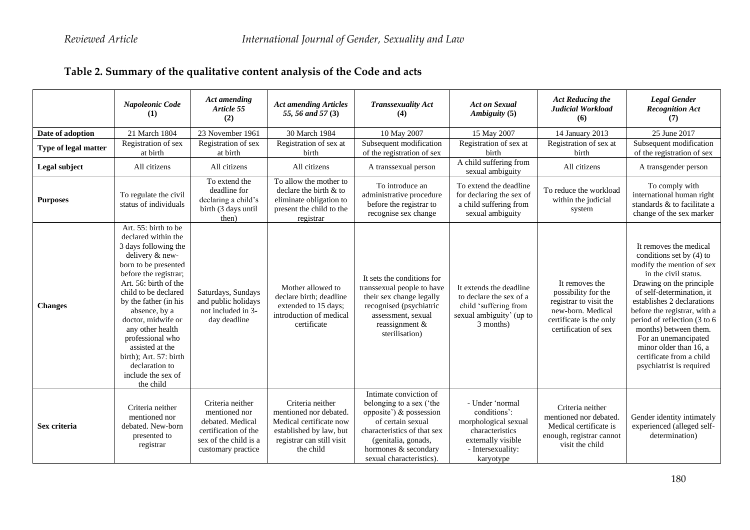|  | Table 2. Summary of the qualitative content analysis of the Code and acts |  |
|--|---------------------------------------------------------------------------|--|
|  |                                                                           |  |

|                      | Napoleonic Code<br>(1)                                                                                                                                                                                                                                                                                                                                                                             | <b>Act amending</b><br>Article 55<br>(2)                                                                                     | <b>Act amending Articles</b><br>55, 56 and 57 (3)                                                                                          | <b>Transsexuality Act</b><br>(4)                                                                                                                                                                             | <b>Act on Sexual</b><br>Ambiguity (5)                                                                                              | <b>Act Reducing the</b><br>Judicial Workload<br>(6)                                                                                     | <b>Legal Gender</b><br><b>Recognition Act</b><br>(7)                                                                                                                                                                                                                                                                                                                                                |
|----------------------|----------------------------------------------------------------------------------------------------------------------------------------------------------------------------------------------------------------------------------------------------------------------------------------------------------------------------------------------------------------------------------------------------|------------------------------------------------------------------------------------------------------------------------------|--------------------------------------------------------------------------------------------------------------------------------------------|--------------------------------------------------------------------------------------------------------------------------------------------------------------------------------------------------------------|------------------------------------------------------------------------------------------------------------------------------------|-----------------------------------------------------------------------------------------------------------------------------------------|-----------------------------------------------------------------------------------------------------------------------------------------------------------------------------------------------------------------------------------------------------------------------------------------------------------------------------------------------------------------------------------------------------|
| Date of adoption     | 21 March 1804                                                                                                                                                                                                                                                                                                                                                                                      | 23 November 1961                                                                                                             | 30 March 1984                                                                                                                              | 10 May 2007                                                                                                                                                                                                  | 15 May 2007                                                                                                                        | 14 January 2013                                                                                                                         | 25 June 2017                                                                                                                                                                                                                                                                                                                                                                                        |
| Type of legal matter | Registration of sex<br>at birth                                                                                                                                                                                                                                                                                                                                                                    | Registration of sex<br>at birth                                                                                              | Registration of sex at<br>birth                                                                                                            | Subsequent modification<br>of the registration of sex                                                                                                                                                        | Registration of sex at<br>birth                                                                                                    | Registration of sex at<br>birth                                                                                                         | Subsequent modification<br>of the registration of sex                                                                                                                                                                                                                                                                                                                                               |
| Legal subject        | All citizens                                                                                                                                                                                                                                                                                                                                                                                       | All citizens                                                                                                                 | All citizens                                                                                                                               | A transsexual person                                                                                                                                                                                         | A child suffering from<br>sexual ambiguity                                                                                         | All citizens                                                                                                                            | A transgender person                                                                                                                                                                                                                                                                                                                                                                                |
| <b>Purposes</b>      | To regulate the civil<br>status of individuals                                                                                                                                                                                                                                                                                                                                                     | To extend the<br>deadline for<br>declaring a child's<br>birth (3 days until<br>then)                                         | To allow the mother to<br>declare the birth & to<br>eliminate obligation to<br>present the child to the<br>registrar                       | To introduce an<br>administrative procedure<br>before the registrar to<br>recognise sex change                                                                                                               | To extend the deadline<br>for declaring the sex of<br>a child suffering from<br>sexual ambiguity                                   | To reduce the workload<br>within the judicial<br>system                                                                                 | To comply with<br>international human right<br>standards & to facilitate a<br>change of the sex marker                                                                                                                                                                                                                                                                                              |
| <b>Changes</b>       | Art. 55: birth to be<br>declared within the<br>3 days following the<br>delivery & new-<br>born to be presented<br>before the registrar;<br>Art. 56: birth of the<br>child to be declared<br>by the father (in his<br>absence, by a<br>doctor, midwife or<br>any other health<br>professional who<br>assisted at the<br>birth); Art. 57: birth<br>declaration to<br>include the sex of<br>the child | Saturdays, Sundays<br>and public holidays<br>not included in 3-<br>day deadline                                              | Mother allowed to<br>declare birth: deadline<br>extended to 15 days;<br>introduction of medical<br>certificate                             | It sets the conditions for<br>transsexual people to have<br>their sex change legally<br>recognised (psychiatric<br>assessment, sexual<br>reassignment $&$<br>sterilisation)                                  | It extends the deadline<br>to declare the sex of a<br>child 'suffering from<br>sexual ambiguity' (up to<br>3 months)               | It removes the<br>possibility for the<br>registrar to visit the<br>new-born. Medical<br>certificate is the only<br>certification of sex | It removes the medical<br>conditions set by $(4)$ to<br>modify the mention of sex<br>in the civil status.<br>Drawing on the principle<br>of self-determination, it<br>establishes 2 declarations<br>before the registrar, with a<br>period of reflection (3 to 6<br>months) between them.<br>For an unemancipated<br>minor older than 16, a<br>certificate from a child<br>psychiatrist is required |
| Sex criteria         | Criteria neither<br>mentioned nor<br>debated. New-born<br>presented to<br>registrar                                                                                                                                                                                                                                                                                                                | Criteria neither<br>mentioned nor<br>debated. Medical<br>certification of the<br>sex of the child is a<br>customary practice | Criteria neither<br>mentioned nor debated.<br>Medical certificate now<br>established by law, but<br>registrar can still visit<br>the child | Intimate conviction of<br>belonging to a sex ('the<br>opposite') & possession<br>of certain sexual<br>characteristics of that sex<br>(genitalia, gonads,<br>hormones & secondary<br>sexual characteristics). | - Under 'normal<br>conditions':<br>morphological sexual<br>characteristics<br>externally visible<br>- Intersexuality:<br>karyotype | Criteria neither<br>mentioned nor debated.<br>Medical certificate is<br>enough, registrar cannot<br>visit the child                     | Gender identity intimately<br>experienced (alleged self-<br>determination)                                                                                                                                                                                                                                                                                                                          |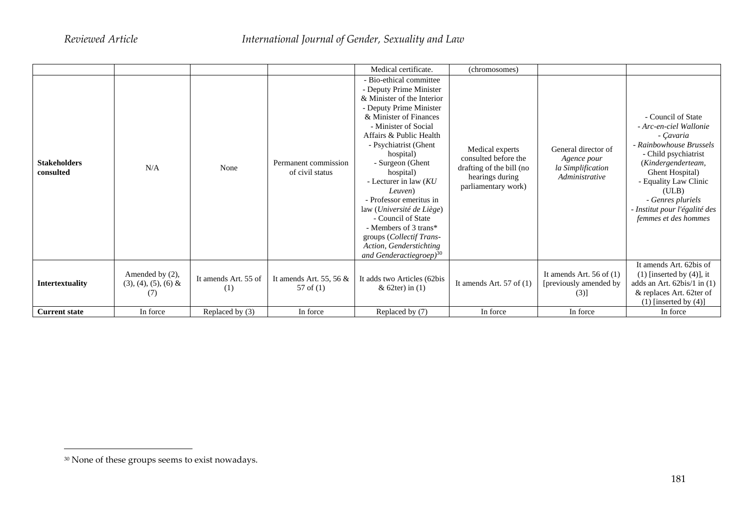|                                  |                                                  |                             |                                          | Medical certificate.                                                                                                                                                                                                                                                                                                                                                                                                                                                                                | (chromosomes)                                                                                                 |                                                                           |                                                                                                                                                                                                                                                                       |
|----------------------------------|--------------------------------------------------|-----------------------------|------------------------------------------|-----------------------------------------------------------------------------------------------------------------------------------------------------------------------------------------------------------------------------------------------------------------------------------------------------------------------------------------------------------------------------------------------------------------------------------------------------------------------------------------------------|---------------------------------------------------------------------------------------------------------------|---------------------------------------------------------------------------|-----------------------------------------------------------------------------------------------------------------------------------------------------------------------------------------------------------------------------------------------------------------------|
| <b>Stakeholders</b><br>consulted | N/A                                              | None                        | Permanent commission<br>of civil status  | - Bio-ethical committee<br>- Deputy Prime Minister<br>& Minister of the Interior<br>- Deputy Prime Minister<br>& Minister of Finances<br>- Minister of Social<br>Affairs & Public Health<br>- Psychiatrist (Ghent<br>hospital)<br>- Surgeon (Ghent)<br>hospital)<br>- Lecturer in law $(KU)$<br>Leuven)<br>- Professor emeritus in<br>law (Université de Liège)<br>- Council of State<br>- Members of 3 trans*<br>groups (Collectif Trans-<br>Action, Genderstichting<br>and Genderactiegroep) $30$ | Medical experts<br>consulted before the<br>drafting of the bill (no<br>hearings during<br>parliamentary work) | General director of<br>Agence pour<br>la Simplification<br>Administrative | - Council of State<br>- Arc-en-ciel Wallonie<br>- Çavaria<br>- Rainbowhouse Brussels<br>- Child psychiatrist<br>(Kindergenderteam,<br>Ghent Hospital)<br>- Equality Law Clinic<br>(ULB)<br>- Genres pluriels<br>- Institut pour l'égalité des<br>femmes et des hommes |
| <b>Intertextuality</b>           | Amended by (2),<br>$(3), (4), (5), (6)$ &<br>(7) | It amends Art. 55 of<br>(1) | It amends Art. 55, 56 $&$<br>57 of $(1)$ | It adds two Articles (62bis<br>& $62$ ter) in $(1)$                                                                                                                                                                                                                                                                                                                                                                                                                                                 | It amends Art. $57$ of $(1)$                                                                                  | It amends Art. 56 of $(1)$<br>[previously amended by<br>(3)]              | It amends Art. 62bis of<br>$(1)$ [inserted by $(4)$ ], it<br>adds an Art. 62bis/1 in (1)<br>& replaces Art. 62ter of<br>$(1)$ [inserted by $(4)$ ]                                                                                                                    |
| <b>Current state</b>             | In force                                         | Replaced by (3)             | In force                                 | Replaced by (7)                                                                                                                                                                                                                                                                                                                                                                                                                                                                                     | In force                                                                                                      | In force                                                                  | In force                                                                                                                                                                                                                                                              |

 $^{30}$  None of these groups seems to exist nowadays.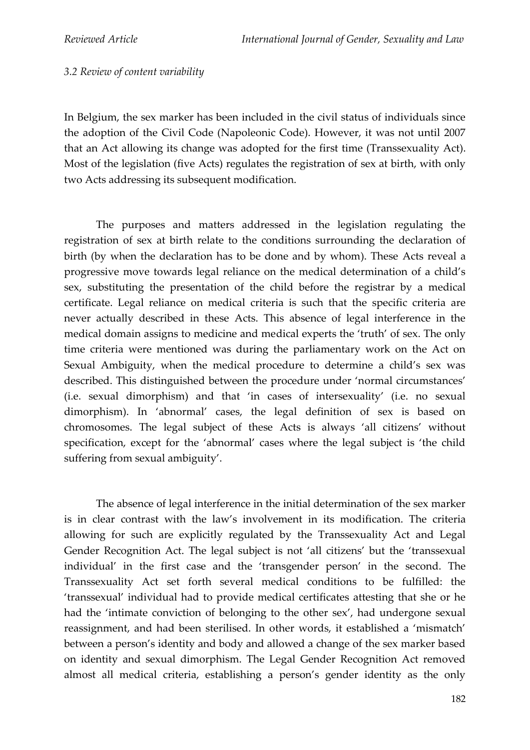#### *3.2 Review of content variability*

In Belgium, the sex marker has been included in the civil status of individuals since the adoption of the Civil Code (Napoleonic Code). However, it was not until 2007 that an Act allowing its change was adopted for the first time (Transsexuality Act). Most of the legislation (five Acts) regulates the registration of sex at birth, with only two Acts addressing its subsequent modification.

The purposes and matters addressed in the legislation regulating the registration of sex at birth relate to the conditions surrounding the declaration of birth (by when the declaration has to be done and by whom). These Acts reveal a progressive move towards legal reliance on the medical determination of a child's sex, substituting the presentation of the child before the registrar by a medical certificate. Legal reliance on medical criteria is such that the specific criteria are never actually described in these Acts. This absence of legal interference in the medical domain assigns to medicine and medical experts the 'truth' of sex. The only time criteria were mentioned was during the parliamentary work on the Act on Sexual Ambiguity, when the medical procedure to determine a child's sex was described. This distinguished between the procedure under 'normal circumstances' (i.e. sexual dimorphism) and that 'in cases of intersexuality' (i.e. no sexual dimorphism). In 'abnormal' cases, the legal definition of sex is based on chromosomes. The legal subject of these Acts is always 'all citizens' without specification, except for the 'abnormal' cases where the legal subject is 'the child suffering from sexual ambiguity'.

The absence of legal interference in the initial determination of the sex marker is in clear contrast with the law's involvement in its modification. The criteria allowing for such are explicitly regulated by the Transsexuality Act and Legal Gender Recognition Act. The legal subject is not 'all citizens' but the 'transsexual individual' in the first case and the 'transgender person' in the second. The Transsexuality Act set forth several medical conditions to be fulfilled: the 'transsexual' individual had to provide medical certificates attesting that she or he had the 'intimate conviction of belonging to the other sex', had undergone sexual reassignment, and had been sterilised. In other words, it established a 'mismatch' between a person's identity and body and allowed a change of the sex marker based on identity and sexual dimorphism. The Legal Gender Recognition Act removed almost all medical criteria, establishing a person's gender identity as the only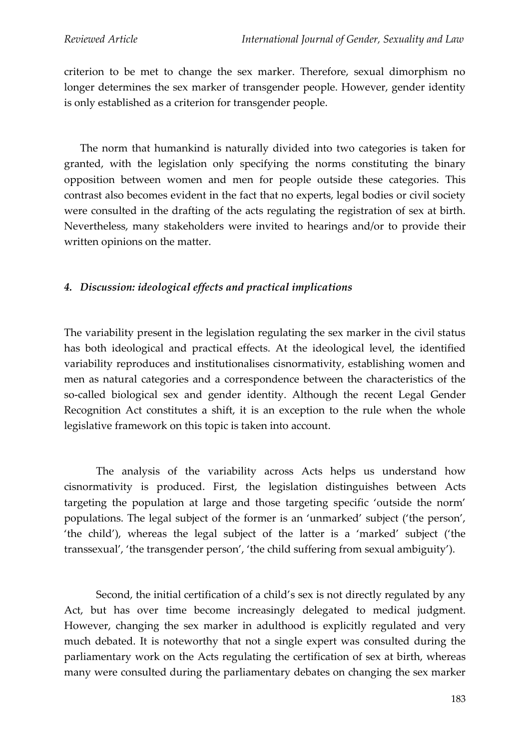criterion to be met to change the sex marker. Therefore, sexual dimorphism no longer determines the sex marker of transgender people. However, gender identity is only established as a criterion for transgender people.

The norm that humankind is naturally divided into two categories is taken for granted, with the legislation only specifying the norms constituting the binary opposition between women and men for people outside these categories. This contrast also becomes evident in the fact that no experts, legal bodies or civil society were consulted in the drafting of the acts regulating the registration of sex at birth. Nevertheless, many stakeholders were invited to hearings and/or to provide their written opinions on the matter.

#### *4. Discussion: ideological effects and practical implications*

The variability present in the legislation regulating the sex marker in the civil status has both ideological and practical effects. At the ideological level, the identified variability reproduces and institutionalises cisnormativity, establishing women and men as natural categories and a correspondence between the characteristics of the so-called biological sex and gender identity. Although the recent Legal Gender Recognition Act constitutes a shift, it is an exception to the rule when the whole legislative framework on this topic is taken into account.

The analysis of the variability across Acts helps us understand how cisnormativity is produced. First, the legislation distinguishes between Acts targeting the population at large and those targeting specific 'outside the norm' populations. The legal subject of the former is an 'unmarked' subject ('the person', 'the child'), whereas the legal subject of the latter is a 'marked' subject ('the transsexual', 'the transgender person', 'the child suffering from sexual ambiguity').

Second, the initial certification of a child's sex is not directly regulated by any Act, but has over time become increasingly delegated to medical judgment. However, changing the sex marker in adulthood is explicitly regulated and very much debated. It is noteworthy that not a single expert was consulted during the parliamentary work on the Acts regulating the certification of sex at birth, whereas many were consulted during the parliamentary debates on changing the sex marker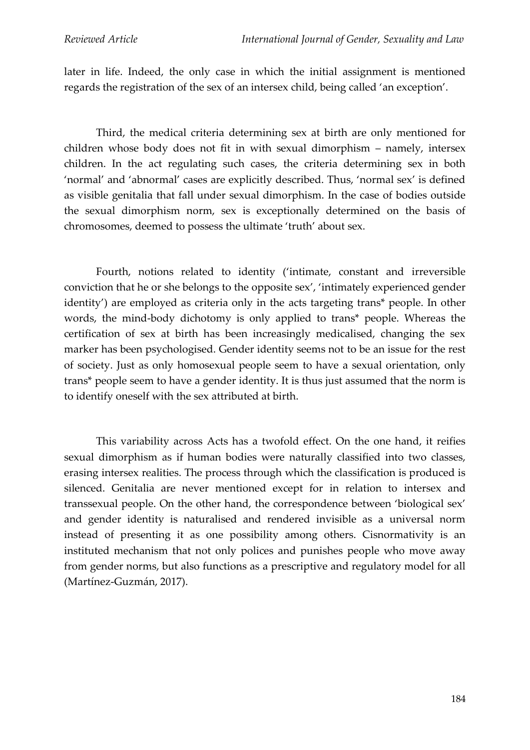later in life. Indeed, the only case in which the initial assignment is mentioned regards the registration of the sex of an intersex child, being called 'an exception'.

Third, the medical criteria determining sex at birth are only mentioned for children whose body does not fit in with sexual dimorphism – namely, intersex children. In the act regulating such cases, the criteria determining sex in both 'normal' and 'abnormal' cases are explicitly described. Thus, 'normal sex' is defined as visible genitalia that fall under sexual dimorphism. In the case of bodies outside the sexual dimorphism norm, sex is exceptionally determined on the basis of chromosomes, deemed to possess the ultimate 'truth' about sex.

Fourth, notions related to identity ('intimate, constant and irreversible conviction that he or she belongs to the opposite sex', 'intimately experienced gender identity') are employed as criteria only in the acts targeting trans\* people. In other words, the mind-body dichotomy is only applied to trans\* people. Whereas the certification of sex at birth has been increasingly medicalised, changing the sex marker has been psychologised. Gender identity seems not to be an issue for the rest of society. Just as only homosexual people seem to have a sexual orientation, only trans\* people seem to have a gender identity. It is thus just assumed that the norm is to identify oneself with the sex attributed at birth.

This variability across Acts has a twofold effect. On the one hand, it reifies sexual dimorphism as if human bodies were naturally classified into two classes, erasing intersex realities. The process through which the classification is produced is silenced. Genitalia are never mentioned except for in relation to intersex and transsexual people. On the other hand, the correspondence between 'biological sex' and gender identity is naturalised and rendered invisible as a universal norm instead of presenting it as one possibility among others. Cisnormativity is an instituted mechanism that not only polices and punishes people who move away from gender norms, but also functions as a prescriptive and regulatory model for all (Martínez-Guzmán, 2017).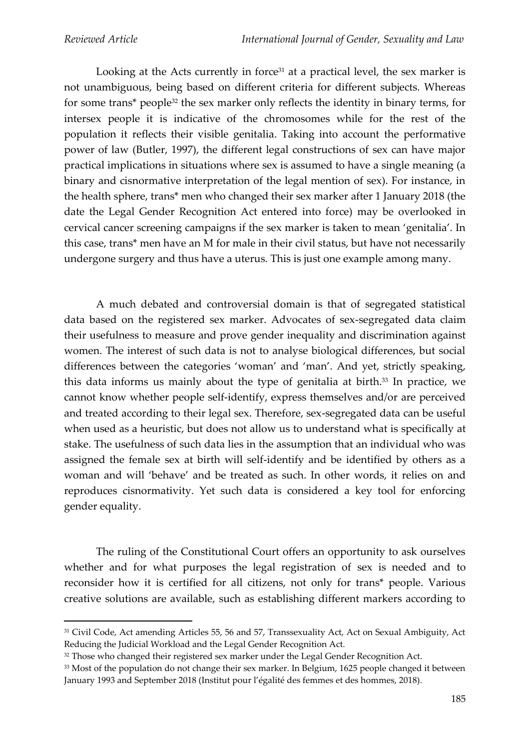Looking at the Acts currently in force<sup>31</sup> at a practical level, the sex marker is not unambiguous, being based on different criteria for different subjects. Whereas for some trans\* people<sup>32</sup> the sex marker only reflects the identity in binary terms, for intersex people it is indicative of the chromosomes while for the rest of the population it reflects their visible genitalia. Taking into account the performative power of law (Butler, 1997), the different legal constructions of sex can have major practical implications in situations where sex is assumed to have a single meaning (a binary and cisnormative interpretation of the legal mention of sex). For instance, in the health sphere, trans\* men who changed their sex marker after 1 January 2018 (the date the Legal Gender Recognition Act entered into force) may be overlooked in cervical cancer screening campaigns if the sex marker is taken to mean 'genitalia'. In this case, trans\* men have an M for male in their civil status, but have not necessarily undergone surgery and thus have a uterus. This is just one example among many.

A much debated and controversial domain is that of segregated statistical data based on the registered sex marker. Advocates of sex-segregated data claim their usefulness to measure and prove gender inequality and discrimination against women. The interest of such data is not to analyse biological differences, but social differences between the categories 'woman' and 'man'. And yet, strictly speaking, this data informs us mainly about the type of genitalia at birth. <sup>33</sup> In practice, we cannot know whether people self-identify, express themselves and/or are perceived and treated according to their legal sex. Therefore, sex-segregated data can be useful when used as a heuristic, but does not allow us to understand what is specifically at stake. The usefulness of such data lies in the assumption that an individual who was assigned the female sex at birth will self-identify and be identified by others as a woman and will 'behave' and be treated as such. In other words, it relies on and reproduces cisnormativity. Yet such data is considered a key tool for enforcing gender equality.

The ruling of the Constitutional Court offers an opportunity to ask ourselves whether and for what purposes the legal registration of sex is needed and to reconsider how it is certified for all citizens, not only for trans\* people. Various creative solutions are available, such as establishing different markers according to

<sup>&</sup>lt;sup>31</sup> Civil Code, Act amending Articles 55, 56 and 57, Transsexuality Act, Act on Sexual Ambiguity, Act Reducing the Judicial Workload and the Legal Gender Recognition Act.

<sup>&</sup>lt;sup>32</sup> Those who changed their registered sex marker under the Legal Gender Recognition Act.

<sup>&</sup>lt;sup>33</sup> Most of the population do not change their sex marker. In Belgium, 1625 people changed it between January 1993 and September 2018 (Institut pour l'égalité des femmes et des hommes, 2018).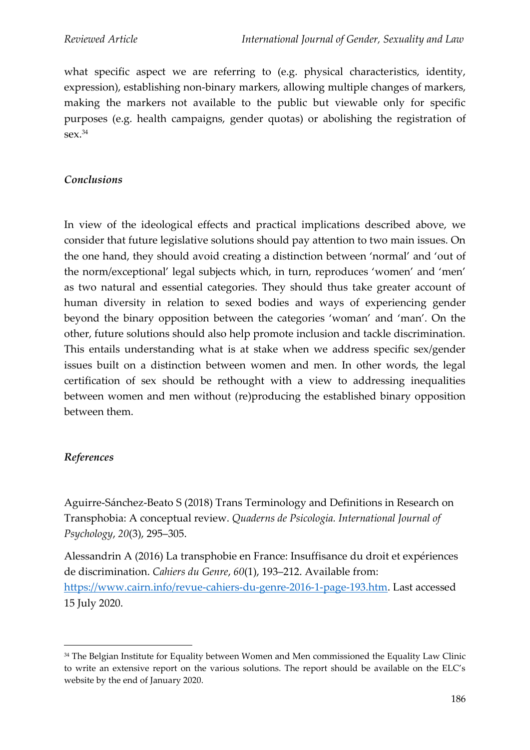what specific aspect we are referring to (e.g. physical characteristics, identity, expression), establishing non-binary markers, allowing multiple changes of markers, making the markers not available to the public but viewable only for specific purposes (e.g. health campaigns, gender quotas) or abolishing the registration of  $sex.<sup>34</sup>$ 

### *Conclusions*

In view of the ideological effects and practical implications described above, we consider that future legislative solutions should pay attention to two main issues. On the one hand, they should avoid creating a distinction between 'normal' and 'out of the norm/exceptional' legal subjects which, in turn, reproduces 'women' and 'men' as two natural and essential categories. They should thus take greater account of human diversity in relation to sexed bodies and ways of experiencing gender beyond the binary opposition between the categories 'woman' and 'man'. On the other, future solutions should also help promote inclusion and tackle discrimination. This entails understanding what is at stake when we address specific sex/gender issues built on a distinction between women and men. In other words, the legal certification of sex should be rethought with a view to addressing inequalities between women and men without (re)producing the established binary opposition between them.

## *References*

Aguirre-Sánchez-Beato S (2018) Trans Terminology and Definitions in Research on Transphobia: A conceptual review. *Quaderns de Psicologia. International Journal of Psychology*, *20*(3), 295–305.

Alessandrin A (2016) La transphobie en France: Insuffisance du droit et expériences de discrimination. *Cahiers du Genre*, *60*(1), 193–212. Available from: [https://www.cairn.info/revue-cahiers-du-genre-2016-1-page-193.htm.](https://www.cairn.info/revue-cahiers-du-genre-2016-1-page-193.htm) Last accessed 15 July 2020.

<sup>&</sup>lt;sup>34</sup> The Belgian Institute for Equality between Women and Men commissioned the Equality Law Clinic to write an extensive report on the various solutions. The report should be available on the ELC's website by the end of January 2020.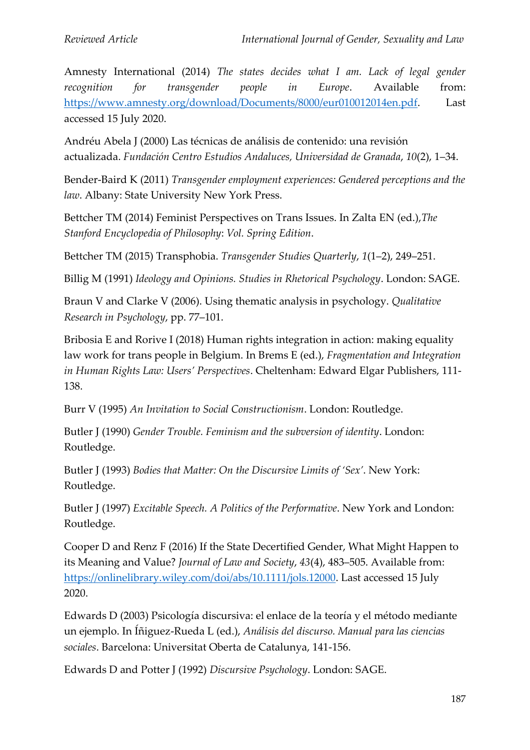Amnesty International (2014) *The states decides what I am. Lack of legal gender recognition for transgender people in Europe*. Available from: [https://www.amnesty.org/download/Documents/8000/eur010012014en.pdf.](https://www.amnesty.org/download/Documents/8000/eur010012014en.pdf) Last accessed 15 July 2020.

Andréu Abela J (2000) Las técnicas de análisis de contenido: una revisión actualizada. *Fundación Centro Estudios Andaluces, Universidad de Granada*, *10*(2), 1–34.

Bender-Baird K (2011) *Transgender employment experiences: Gendered perceptions and the law*. Albany: State University New York Press.

Bettcher TM (2014) Feminist Perspectives on Trans Issues. In Zalta EN (ed.),*The Stanford Encyclopedia of Philosophy*: *Vol. Spring Edition*.

Bettcher TM (2015) Transphobia. *Transgender Studies Quarterly*, *1*(1–2), 249–251.

Billig M (1991) *Ideology and Opinions. Studies in Rhetorical Psychology*. London: SAGE.

Braun V and Clarke V (2006). Using thematic analysis in psychology. *Qualitative Research in Psychology*, pp. 77–101.

Bribosia E and Rorive I (2018) Human rights integration in action: making equality law work for trans people in Belgium. In Brems E (ed.), *Fragmentation and Integration in Human Rights Law: Users' Perspectives*. Cheltenham: Edward Elgar Publishers, 111- 138.

Burr V (1995) *An Invitation to Social Constructionism*. London: Routledge.

Butler J (1990) *Gender Trouble. Feminism and the subversion of identity*. London: Routledge.

Butler J (1993) *Bodies that Matter: On the Discursive Limits of 'Sex'*. New York: Routledge.

Butler J (1997) *Excitable Speech. A Politics of the Performative*. New York and London: Routledge.

Cooper D and Renz F (2016) If the State Decertified Gender, What Might Happen to its Meaning and Value? *Journal of Law and Society*, *43*(4), 483–505. Available from: [https://onlinelibrary.wiley.com/doi/abs/10.1111/jols.12000.](https://onlinelibrary.wiley.com/doi/abs/10.1111/jols.12000) Last accessed 15 July 2020.

Edwards D (2003) Psicología discursiva: el enlace de la teoría y el método mediante un ejemplo. In Íñiguez-Rueda L (ed.), *Análisis del discurso. Manual para las ciencias sociales*. Barcelona: Universitat Oberta de Catalunya, 141-156.

Edwards D and Potter J (1992) *Discursive Psychology*. London: SAGE.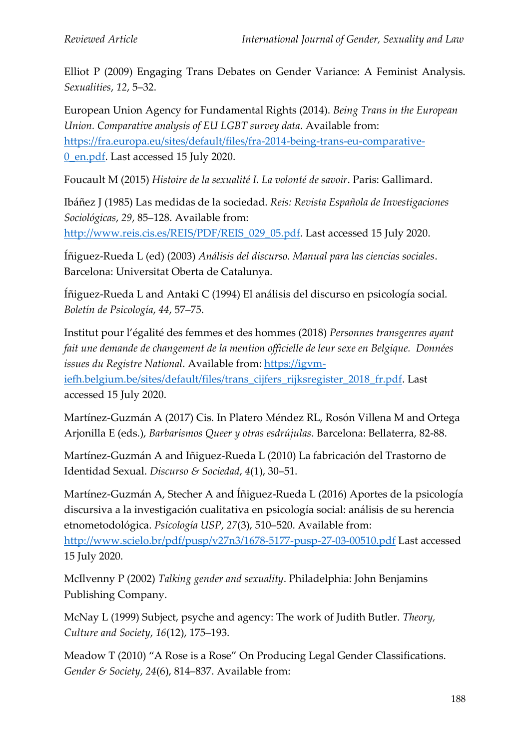Elliot P (2009) Engaging Trans Debates on Gender Variance: A Feminist Analysis. *Sexualities*, *12*, 5–32.

European Union Agency for Fundamental Rights (2014). *Being Trans in the European Union. Comparative analysis of EU LGBT survey data*. Available from: [https://fra.europa.eu/sites/default/files/fra-2014-being-trans-eu-comparative-](https://fra.europa.eu/sites/default/files/fra-2014-being-trans-eu-comparative-0_en.pdf)[0\\_en.pdf.](https://fra.europa.eu/sites/default/files/fra-2014-being-trans-eu-comparative-0_en.pdf) Last accessed 15 July 2020.

Foucault M (2015) *Histoire de la sexualité I. La volonté de savoir*. Paris: Gallimard.

Ibáñez J (1985) Las medidas de la sociedad. *Reis: Revista Española de Investigaciones Sociológicas*, *29*, 85–128. Available from: http://www.reis.cis.es/REIS/PDF/REIS 029 05.pdf. Last accessed 15 July 2020.

Íñiguez-Rueda L (ed) (2003) *Análisis del discurso. Manual para las ciencias sociales*. Barcelona: Universitat Oberta de Catalunya.

Íñiguez-Rueda L and Antaki C (1994) El análisis del discurso en psicología social. *Boletín de Psicología*, *44*, 57–75.

Institut pour l'égalité des femmes et des hommes (2018) *Personnes transgenres ayant fait une demande de changement de la mention officielle de leur sexe en Belgique. Données*  issues du Registre National. Available from: [https://igvm](https://igvm-iefh.belgium.be/sites/default/files/trans_cijfers_rijksregister_2018_fr.pdf)[iefh.belgium.be/sites/default/files/trans\\_cijfers\\_rijksregister\\_2018\\_fr.pdf.](https://igvm-iefh.belgium.be/sites/default/files/trans_cijfers_rijksregister_2018_fr.pdf) Last accessed 15 July 2020.

Martínez-Guzmán A (2017) Cis. In Platero Méndez RL, Rosón Villena M and Ortega Arjonilla E (eds.), *Barbarismos Queer y otras esdrújulas*. Barcelona: Bellaterra, 82-88.

Martínez-Guzmán A and Iñiguez-Rueda L (2010) La fabricación del Trastorno de Identidad Sexual. *Discurso & Sociedad*, *4*(1), 30–51.

Martínez-Guzmán A, Stecher A and Íñiguez-Rueda L (2016) Aportes de la psicología discursiva a la investigación cualitativa en psicología social: análisis de su herencia etnometodológica. *Psicología USP*, *27*(3), 510–520. Available from: <http://www.scielo.br/pdf/pusp/v27n3/1678-5177-pusp-27-03-00510.pdf> Last accessed 15 July 2020.

McIlvenny P (2002) *Talking gender and sexuality*. Philadelphia: John Benjamins Publishing Company.

McNay L (1999) Subject, psyche and agency: The work of Judith Butler. *Theory, Culture and Society*, *16*(12), 175–193.

Meadow T (2010) "A Rose is a Rose" On Producing Legal Gender Classifications. *Gender & Society*, *24*(6), 814–837. Available from: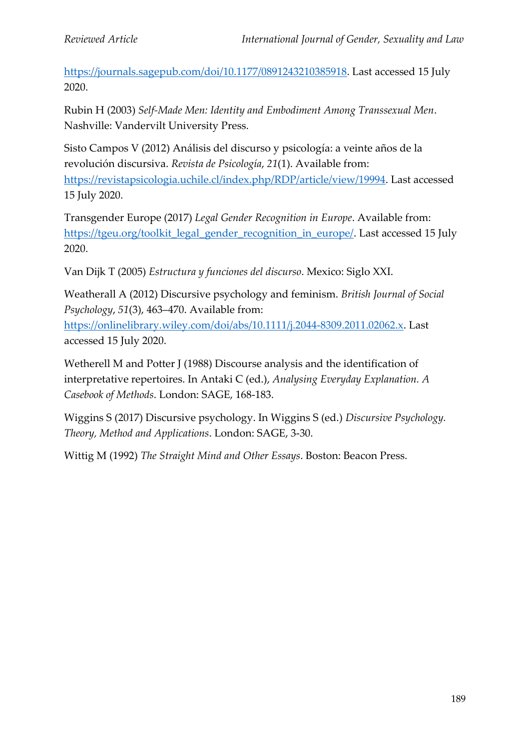[https://journals.sagepub.com/doi/10.1177/0891243210385918.](https://journals.sagepub.com/doi/10.1177/0891243210385918) Last accessed 15 July 2020.

Rubin H (2003) *Self-Made Men: Identity and Embodiment Among Transsexual Men*. Nashville: Vandervilt University Press.

Sisto Campos V (2012) Análisis del discurso y psicología: a veinte años de la revolución discursiva. *Revista de Psicología*, *21*(1). Available from: [https://revistapsicologia.uchile.cl/index.php/RDP/article/view/19994.](https://revistapsicologia.uchile.cl/index.php/RDP/article/view/19994) Last accessed 15 July 2020.

Transgender Europe (2017) *Legal Gender Recognition in Europe*. Available from: [https://tgeu.org/toolkit\\_legal\\_gender\\_recognition\\_in\\_europe/.](https://tgeu.org/toolkit_legal_gender_recognition_in_europe/) Last accessed 15 July 2020.

Van Dijk T (2005) *Estructura y funciones del discurso*. Mexico: Siglo XXI.

Weatherall A (2012) Discursive psychology and feminism. *British Journal of Social Psychology*, *51*(3), 463–470. Available from:

[https://onlinelibrary.wiley.com/doi/abs/10.1111/j.2044-8309.2011.02062.x.](https://onlinelibrary.wiley.com/doi/abs/10.1111/j.2044-8309.2011.02062.x) Last accessed 15 July 2020.

Wetherell M and Potter J (1988) Discourse analysis and the identification of interpretative repertoires. In Antaki C (ed.), *Analysing Everyday Explanation. A Casebook of Methods*. London: SAGE, 168-183.

Wiggins S (2017) Discursive psychology. In Wiggins S (ed.) *Discursive Psychology. Theory, Method and Applications*. London: SAGE, 3-30.

Wittig M (1992) *The Straight Mind and Other Essays*. Boston: Beacon Press.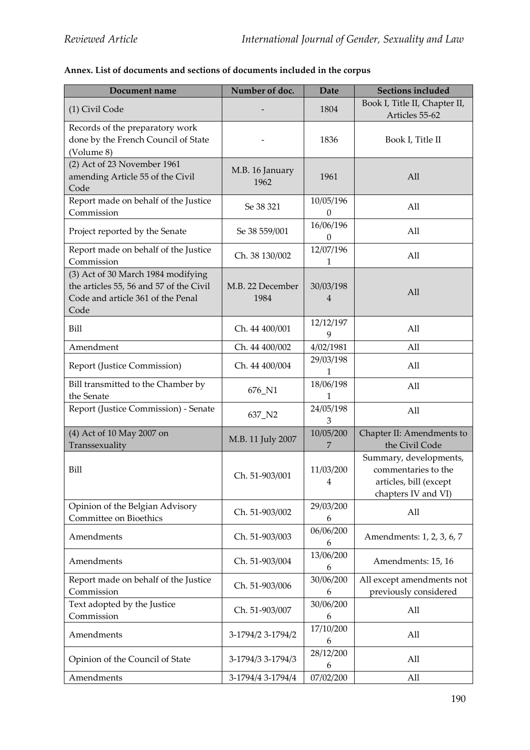## **Annex. List of documents and sections of documents included in the corpus**

| Document name                                                                                                              | Number of doc.           | <b>Date</b>                   | <b>Sections included</b>                                                                       |
|----------------------------------------------------------------------------------------------------------------------------|--------------------------|-------------------------------|------------------------------------------------------------------------------------------------|
| (1) Civil Code                                                                                                             |                          | 1804                          | Book I, Title II, Chapter II,<br>Articles 55-62                                                |
| Records of the preparatory work<br>done by the French Council of State<br>(Volume 8)                                       |                          | 1836                          | Book I, Title II                                                                               |
| (2) Act of 23 November 1961<br>amending Article 55 of the Civil<br>Code                                                    | M.B. 16 January<br>1962  | 1961                          | All                                                                                            |
| Report made on behalf of the Justice<br>Commission                                                                         | Se 38 321                | 10/05/196<br>$\boldsymbol{0}$ | All                                                                                            |
| Project reported by the Senate                                                                                             | Se 38 559/001            | 16/06/196<br>$\mathbf{0}$     | All                                                                                            |
| Report made on behalf of the Justice<br>Commission                                                                         | Ch. 38 130/002           | 12/07/196<br>1                | All                                                                                            |
| (3) Act of 30 March 1984 modifying<br>the articles 55, 56 and 57 of the Civil<br>Code and article 361 of the Penal<br>Code | M.B. 22 December<br>1984 | 30/03/198<br>4                | All                                                                                            |
| Bill                                                                                                                       | Ch. 44 400/001           | 12/12/197<br>9                | All                                                                                            |
| Amendment                                                                                                                  | Ch. 44 400/002           | 4/02/1981                     | All                                                                                            |
| Report (Justice Commission)                                                                                                | Ch. 44 400/004           | 29/03/198<br>1                | All                                                                                            |
| Bill transmitted to the Chamber by<br>the Senate                                                                           | 676_N1                   | 18/06/198<br>$\mathbf{1}$     | All                                                                                            |
| Report (Justice Commission) - Senate                                                                                       | 637_N2                   | 24/05/198<br>З                | All                                                                                            |
| (4) Act of 10 May 2007 on<br>Transsexuality                                                                                | M.B. 11 July 2007        | 10/05/200<br>7                | Chapter II: Amendments to<br>the Civil Code                                                    |
| Bill                                                                                                                       | Ch. 51-903/001           | 11/03/200<br>4                | Summary, developments,<br>commentaries to the<br>articles, bill (except<br>chapters IV and VI) |
| Opinion of the Belgian Advisory<br>Committee on Bioethics                                                                  | Ch. 51-903/002           | 29/03/200<br>6                | All                                                                                            |
| Amendments                                                                                                                 | Ch. 51-903/003           | 06/06/200<br>6                | Amendments: 1, 2, 3, 6, 7                                                                      |
| Amendments                                                                                                                 | Ch. 51-903/004           | 13/06/200<br>6                | Amendments: 15, 16                                                                             |
| Report made on behalf of the Justice                                                                                       | Ch. 51-903/006           | 30/06/200                     | All except amendments not                                                                      |
| Commission                                                                                                                 |                          | 6                             | previously considered                                                                          |
| Text adopted by the Justice<br>Commission                                                                                  | Ch. 51-903/007           | 30/06/200<br>6                | All                                                                                            |
| Amendments                                                                                                                 | 3-1794/2 3-1794/2        | 17/10/200<br>6                | All                                                                                            |
| Opinion of the Council of State                                                                                            | 3-1794/3 3-1794/3        | 28/12/200<br>6                | All                                                                                            |
| Amendments                                                                                                                 | 3-1794/4 3-1794/4        | 07/02/200                     | All                                                                                            |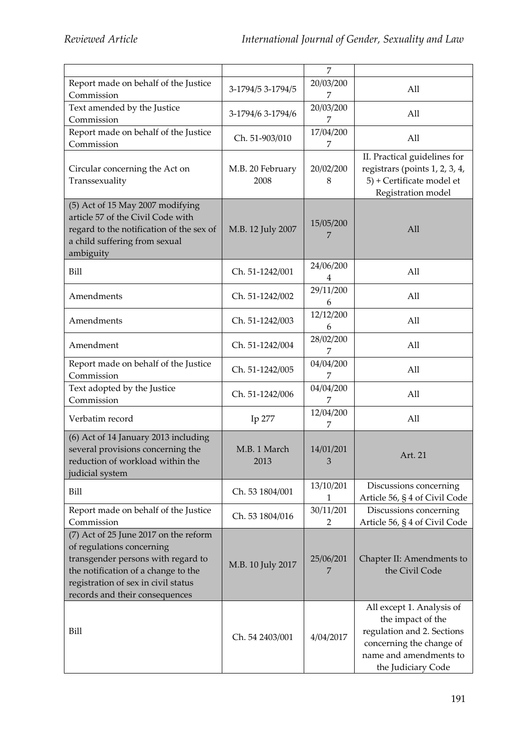|                                                                                                                                                                                                                          |                          | $\overline{7}$ |                                                                                                                                                          |
|--------------------------------------------------------------------------------------------------------------------------------------------------------------------------------------------------------------------------|--------------------------|----------------|----------------------------------------------------------------------------------------------------------------------------------------------------------|
| Report made on behalf of the Justice<br>Commission                                                                                                                                                                       | 3-1794/5 3-1794/5        | 20/03/200<br>7 | All                                                                                                                                                      |
| Text amended by the Justice<br>Commission                                                                                                                                                                                | 3-1794/6 3-1794/6        | 20/03/200<br>7 | All                                                                                                                                                      |
| Report made on behalf of the Justice<br>Commission                                                                                                                                                                       | Ch. 51-903/010           | 17/04/200<br>7 | All                                                                                                                                                      |
| Circular concerning the Act on<br>Transsexuality                                                                                                                                                                         | M.B. 20 February<br>2008 | 20/02/200<br>8 | II. Practical guidelines for<br>registrars (points 1, 2, 3, 4,<br>5) + Certificate model et<br>Registration model                                        |
| (5) Act of 15 May 2007 modifying<br>article 57 of the Civil Code with<br>regard to the notification of the sex of<br>a child suffering from sexual<br>ambiguity                                                          | M.B. 12 July 2007        | 15/05/200<br>7 | All                                                                                                                                                      |
| Bill                                                                                                                                                                                                                     | Ch. 51-1242/001          | 24/06/200<br>4 | All                                                                                                                                                      |
| Amendments                                                                                                                                                                                                               | Ch. 51-1242/002          | 29/11/200<br>6 | All                                                                                                                                                      |
| Amendments                                                                                                                                                                                                               | Ch. 51-1242/003          | 12/12/200<br>6 | All                                                                                                                                                      |
| Amendment                                                                                                                                                                                                                | Ch. 51-1242/004          | 28/02/200<br>7 | All                                                                                                                                                      |
| Report made on behalf of the Justice<br>Commission                                                                                                                                                                       | Ch. 51-1242/005          | 04/04/200<br>7 | All                                                                                                                                                      |
| Text adopted by the Justice<br>Commission                                                                                                                                                                                | Ch. 51-1242/006          | 04/04/200<br>7 | All                                                                                                                                                      |
| Verbatim record                                                                                                                                                                                                          | Ip 277                   | 12/04/200<br>7 | All                                                                                                                                                      |
| (6) Act of 14 January 2013 including<br>several provisions concerning the<br>reduction of workload within the<br>judicial system                                                                                         | M.B. 1 March<br>2013     | 14/01/201<br>3 | Art. 21                                                                                                                                                  |
| Bill                                                                                                                                                                                                                     | Ch. 53 1804/001          | 13/10/201<br>1 | Discussions concerning<br>Article 56, § 4 of Civil Code                                                                                                  |
| Report made on behalf of the Justice<br>Commission                                                                                                                                                                       | Ch. 53 1804/016          | 30/11/201<br>2 | Discussions concerning<br>Article 56, § 4 of Civil Code                                                                                                  |
| (7) Act of 25 June 2017 on the reform<br>of regulations concerning<br>transgender persons with regard to<br>the notification of a change to the<br>registration of sex in civil status<br>records and their consequences | M.B. 10 July 2017        | 25/06/201<br>7 | Chapter II: Amendments to<br>the Civil Code                                                                                                              |
| Bill                                                                                                                                                                                                                     | Ch. 54 2403/001          | 4/04/2017      | All except 1. Analysis of<br>the impact of the<br>regulation and 2. Sections<br>concerning the change of<br>name and amendments to<br>the Judiciary Code |